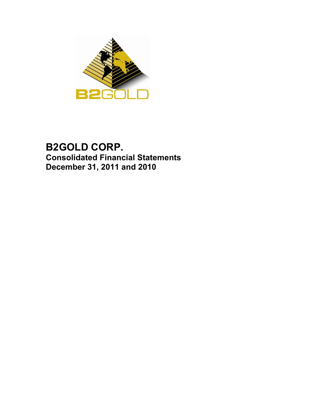

# **B2GOLD CORP. Consolidated Financial Statements December 31, 2011 and 2010**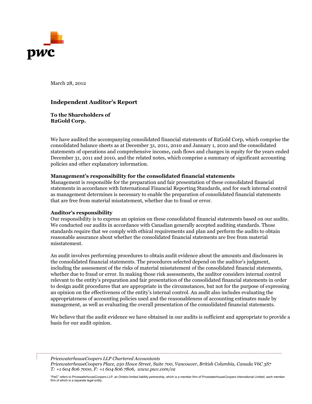

March 28, 2012

### **Independent Auditor's Report**

**To the Shareholders of B2Gold Corp.**

We have audited the accompanying consolidated financial statements of B2Gold Corp, which comprise the consolidated balance sheets as at December 31, 2011, 2010 and January 1, 2010 and the consolidated statements of operations and comprehensive income**,** cash flows and changes in equity for the years ended December 31, 2011 and 2010, and the related notes, which comprise a summary of significant accounting policies and other explanatory information.

#### **Management's responsibility for the consolidated financial statements**

Management is responsible for the preparation and fair presentation of these consolidated financial statements in accordance with International Financial Reporting Standards, and for such internal control as management determines is necessary to enable the preparation of consolidated financial statements that are free from material misstatement, whether due to fraud or error.

#### **Auditor's responsibility**

Our responsibility is to express an opinion on these consolidated financial statements based on our audits. We conducted our audits in accordance with Canadian generally accepted auditing standards. Those standards require that we comply with ethical requirements and plan and perform the audits to obtain reasonable assurance about whether the consolidated financial statements are free from material misstatement.

An audit involves performing procedures to obtain audit evidence about the amounts and disclosures in the consolidated financial statements. The procedures selected depend on the auditor's judgment, including the assessment of the risks of material misstatement of the consolidated financial statements, whether due to fraud or error. In making those risk assessments, the auditor considers internal control relevant to the entity's preparation and fair presentation of the consolidated financial statements in order to design audit procedures that are appropriate in the circumstances, but not for the purpose of expressing an opinion on the effectiveness of the entity's internal control. An audit also includes evaluating the appropriateness of accounting policies used and the reasonableness of accounting estimates made by management, as well as evaluating the overall presentation of the consolidated financial statements.

We believe that the audit evidence we have obtained in our audits is sufficient and appropriate to provide a basis for our audit opinion.

*PricewaterhouseCoopers LLP Chartered Accountants PricewaterhouseCoopers Place, 250 Howe Street, Suite 700, Vancouver, British Columbia, Canada V6C 3S7 T: +1 604 806 7000, F: +1 604 806 7806, www.pwc.com/ca*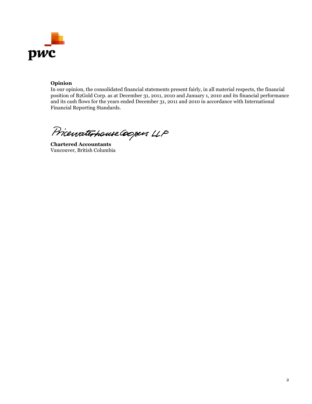

### **Opinion**

In our opinion, the consolidated financial statements present fairly, in all material respects, the financial position of B2Gold Corp. as at December 31, 2011, 2010 and January 1, 2010 and its financial performance and its cash flows for the years ended December 31, 2011 and 2010 in accordance with International Financial Reporting Standards.

Pricewaterhouse Coopers LLP

**Chartered Accountants** Vancouver, British Columbia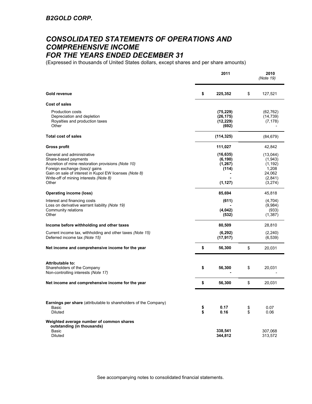## *CONSOLIDATED STATEMENTS OF OPERATIONS AND COMPREHENSIVE INCOME FOR THE YEARS ENDED DECEMBER 31*

(Expressed in thousands of United States dollars, except shares and per share amounts)

|                                                                                                                                                                                                                                                         |          | 2011                                                   |          | 2010<br>(Note 19)                                                        |
|---------------------------------------------------------------------------------------------------------------------------------------------------------------------------------------------------------------------------------------------------------|----------|--------------------------------------------------------|----------|--------------------------------------------------------------------------|
| Gold revenue                                                                                                                                                                                                                                            | \$       | 225,352                                                | \$       | 127,521                                                                  |
| Cost of sales                                                                                                                                                                                                                                           |          |                                                        |          |                                                                          |
| <b>Production costs</b><br>Depreciation and depletion<br>Royalties and production taxes<br>Other                                                                                                                                                        |          | (75, 229)<br>(26, 175)<br>(12, 229)<br>(692)           |          | (62, 762)<br>(14, 739)<br>(7, 178)                                       |
| <b>Total cost of sales</b>                                                                                                                                                                                                                              |          | (114, 325)                                             |          | (84, 679)                                                                |
| <b>Gross profit</b>                                                                                                                                                                                                                                     |          | 111,027                                                |          | 42,842                                                                   |
| General and administrative<br>Share-based payments<br>Accretion of mine restoration provisions (Note 10)<br>Foreign exchange (loss)/ gains<br>Gain on sale of interest in Kupol EW licenses (Note 8)<br>Write-off of mining interests (Note 8)<br>Other |          | (16, 635)<br>(6, 190)<br>(1, 267)<br>(114)<br>(1, 127) |          | (13,044)<br>(1,943)<br>(1, 192)<br>1,208<br>24,062<br>(2,841)<br>(3,274) |
| <b>Operating income (loss)</b>                                                                                                                                                                                                                          |          | 85,694                                                 |          | 45,818                                                                   |
| Interest and financing costs<br>Loss on derivative warrant liability (Note 19)<br>Community relations<br>Other                                                                                                                                          |          | (611)<br>(4, 042)<br>(532)                             |          | (4,704)<br>(9,984)<br>(933)<br>(1, 387)                                  |
| Income before withholding and other taxes                                                                                                                                                                                                               |          | 80,509                                                 |          | 28,810                                                                   |
| Current income tax, withholding and other taxes (Note 15)<br>Deferred income tax (Note 15)                                                                                                                                                              |          | (6, 292)<br>(17, 917)                                  |          | (2, 240)<br>(6, 539)                                                     |
| Net income and comprehensive income for the year                                                                                                                                                                                                        | \$       | 56,300                                                 | \$       | 20,031                                                                   |
| Attributable to:<br>Shareholders of the Company<br>Non-controlling interests (Note 17)                                                                                                                                                                  | \$       | 56,300                                                 | \$       | 20,031                                                                   |
| Net income and comprehensive income for the year                                                                                                                                                                                                        | \$       | 56,300                                                 | \$       | 20,031                                                                   |
| Earnings per share (attributable to shareholders of the Company)<br>Basic<br><b>Diluted</b>                                                                                                                                                             | \$<br>\$ | 0.17<br>0.16                                           | \$<br>\$ | 0.07<br>0.06                                                             |
| Weighted average number of common shares<br>outstanding (in thousands)<br>Basic<br>Diluted                                                                                                                                                              |          | 338,541<br>344,812                                     |          | 307,068<br>313,572                                                       |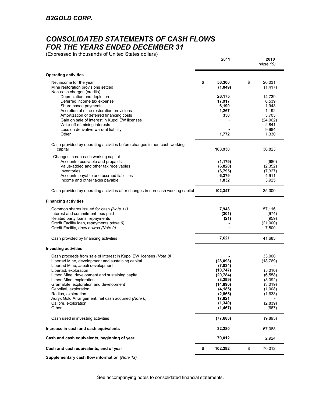## *CONSOLIDATED STATEMENTS OF CASH FLOWS FOR THE YEARS ENDED DECEMBER 31*

(Expressed in thousands of United States dollars)

|                                                                                              | 2011                    | 2010<br>(Note 19)        |
|----------------------------------------------------------------------------------------------|-------------------------|--------------------------|
| <b>Operating activities</b>                                                                  |                         |                          |
| Net income for the year<br>Mine restoration provisions settled<br>Non-cash charges (credits) | \$<br>56,300<br>(1,049) | \$<br>20,031<br>(1, 417) |
| Depreciation and depletion                                                                   | 26,175                  | 14,739                   |
| Deferred income tax expense                                                                  | 17,917                  | 6,539                    |
| Share based payments                                                                         | 6,190                   | 1,943                    |
| Accretion of mine restoration provisions<br>Amortization of deferred financing costs         | 1,267<br>358            | 1,192<br>3,703           |
| Gain on sale of interest in Kupol EW licenses                                                |                         | (24,062)                 |
| Write-off of mining interests                                                                |                         | 2,841                    |
| Loss on derivative warrant liability                                                         |                         | 9,984                    |
| Other                                                                                        | 1,772                   | 1,330                    |
| Cash provided by operating activities before changes in non-cash working<br>capital          | 108,930                 | 36,823                   |
| Changes in non-cash working capital                                                          |                         |                          |
| Accounts receivable and prepaids                                                             | (1,179)                 | (680)                    |
| Value-added and other tax receivables                                                        | (6, 820)                | (2, 352)                 |
| Inventories                                                                                  | (6, 795)                | (7, 327)                 |
| Accounts payable and accrued liabilities                                                     | 6,379                   | 4,911                    |
| Income and other taxes payable                                                               | 1,832                   | 3,925                    |
| Cash provided by operating activities after changes in non-cash working capital              | 102,347                 | 35,300                   |
| <b>Financing activities</b>                                                                  |                         |                          |
| Common shares issued for cash (Note 11)                                                      | 7,943                   | 57,116                   |
| Interest and commitment fees paid                                                            | (301)                   | (974)                    |
| Related party loans, repayments                                                              | (21)                    | (959)                    |
| Credit Facility Ioan, repayments (Note 9)                                                    |                         | (21,000)                 |
| Credit Facility, draw downs (Note 9)                                                         |                         | 7,500                    |
| Cash provided by financing activities                                                        | 7,621                   | 41,683                   |
| <b>Investing activities</b>                                                                  |                         |                          |
| Cash proceeds from sale of interest in Kupol EW licenses (Note 8)                            |                         | 33,000                   |
| Libertad Mine, development and sustaining capital                                            | (28,098)                | (18, 769)                |
| Libertad Mine, Jabali development                                                            | (7, 834)                |                          |
| Libertad, exploration                                                                        | (10, 747)               | (5,010)                  |
| Limon Mine, development and sustaining capital<br>Limon Mine, exploration                    | (20, 784)<br>(3, 299)   | (6, 558)<br>(3, 392)     |
| Gramalote, exploration and development                                                       | (14, 890)               | (3,019)                  |
| Cebollati, exploration                                                                       | (4, 185)                | (1,008)                  |
| Radius, exploration                                                                          | (2,865)                 | (1,633)                  |
| Auryx Gold Arrangement, net cash acquired (Note 6)                                           | 17,821                  |                          |
| Calibre, exploration                                                                         | (1, 340)                | (2,839)                  |
| Other                                                                                        | (1, 467)                | (667)                    |
| Cash used in investing activities                                                            | (77, 688)               | (9,895)                  |
| Increase in cash and cash equivalents                                                        | 32,280                  | 67,088                   |
| Cash and cash equivalents, beginning of year                                                 | 70,012                  | 2,924                    |
| Cash and cash equivalents, end of year                                                       | \$<br>102,292           | \$<br>70,012             |
| Supplementary cash flow information (Note 12)                                                |                         |                          |

See accompanying notes to consolidated financial statements.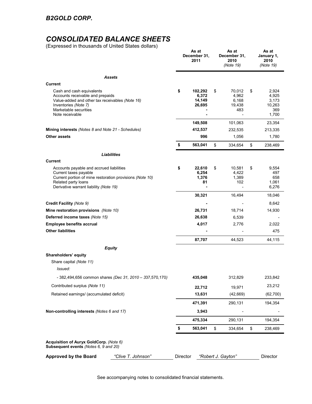## *B2GOLD CORP.*

## *CONSOLIDATED BALANCE SHEETS*

(Expressed in thousands of United States dollars)

|                                                                                                                                                                                                | As at<br>December 31,<br>2011              | As at<br>December 31,<br>2010<br>(Note 19)      | As at<br>January 1,<br>2010<br>(Note 19)                |
|------------------------------------------------------------------------------------------------------------------------------------------------------------------------------------------------|--------------------------------------------|-------------------------------------------------|---------------------------------------------------------|
| Assets                                                                                                                                                                                         |                                            |                                                 |                                                         |
| <b>Current</b>                                                                                                                                                                                 |                                            |                                                 |                                                         |
| Cash and cash equivalents<br>Accounts receivable and prepaids<br>Value-added and other tax receivables (Note 16)<br>Inventories (Note 7)<br>Marketable securities<br>Note receivable           | \$<br>102,292<br>6,372<br>14,149<br>26,695 | \$<br>70,012<br>4,962<br>6,168<br>19,438<br>483 | \$<br>2,924<br>4,925<br>3,173<br>10,263<br>369<br>1,700 |
|                                                                                                                                                                                                | 149,508                                    | 101,063                                         | 23,354                                                  |
| Mining interests (Notes 8 and Note 21 - Schedules)                                                                                                                                             | 412,537                                    | 232,535                                         | 213,335                                                 |
| Other assets                                                                                                                                                                                   | 996                                        | 1,056                                           | 1,780                                                   |
|                                                                                                                                                                                                | \$<br>563,041                              | \$<br>334,654                                   | \$<br>238,469                                           |
| Liabilities                                                                                                                                                                                    |                                            |                                                 |                                                         |
| Current                                                                                                                                                                                        |                                            |                                                 |                                                         |
| Accounts payable and accrued liabilities<br>Current taxes payable<br>Current portion of mine restoration provisions (Note 10)<br>Related party loans<br>Derivative warrant liability (Note 19) | \$<br>22,610<br>6,254<br>1,376<br>81       | \$<br>10,581<br>4,422<br>1,389<br>102           | \$<br>9,554<br>497<br>658<br>1,061<br>6,276             |
|                                                                                                                                                                                                | 30,321                                     | 16,494                                          | 18,046                                                  |
| Credit Facility (Note 9)                                                                                                                                                                       |                                            |                                                 | 8,642                                                   |
| Mine restoration provisions (Note 10)                                                                                                                                                          | 26,731                                     | 18,714                                          | 14,930                                                  |
| Deferred income taxes (Note 15)                                                                                                                                                                | 26,638                                     | 6,539                                           |                                                         |
| <b>Employee benefits accrual</b>                                                                                                                                                               | 4,017                                      | 2,776                                           | 2,022                                                   |
| <b>Other liabilities</b>                                                                                                                                                                       |                                            |                                                 | 475                                                     |
|                                                                                                                                                                                                | 87,707                                     | 44,523                                          | 44,115                                                  |
| <b>Equity</b>                                                                                                                                                                                  |                                            |                                                 |                                                         |
| Shareholders' equity<br>Share capital (Note 11)<br>Issued:                                                                                                                                     |                                            |                                                 |                                                         |
| $-382,494,656$ common shares (Dec 31, 2010 - 337,570,170)                                                                                                                                      | 435,048                                    | 312,829                                         | 233,842                                                 |
| Contributed surplus (Note 11)                                                                                                                                                                  | 22,712                                     | 19,971                                          | 23,212                                                  |
| Retained earnings/ (accumulated deficit)                                                                                                                                                       | 13,631                                     | (42, 669)                                       | (62,700)                                                |
|                                                                                                                                                                                                | 471,391                                    | 290,131                                         | 194,354                                                 |
| Non-controlling interests (Notes 6 and 17)                                                                                                                                                     | 3,943                                      |                                                 |                                                         |
|                                                                                                                                                                                                | 475,334                                    | 290,131                                         | 194,354                                                 |
|                                                                                                                                                                                                | \$<br>563,041                              | \$<br>334,654                                   | \$<br>238,469                                           |
| Acquisition of Auryx GoldCorp. (Note 6)<br>Subsequent events (Notes 6, 9 and 20)                                                                                                               |                                            |                                                 |                                                         |
| <b>Approved by the Board</b><br>"Clive T. Johnson"                                                                                                                                             | Director                                   | "Robert J. Gayton"                              | Director                                                |

See accompanying notes to consolidated financial statements.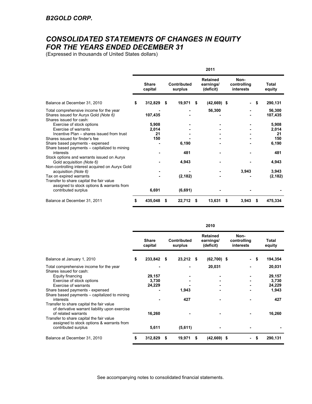## *CONSOLIDATED STATEMENTS OF CHANGES IN EQUITY FOR THE YEARS ENDED DECEMBER 31*

(Expressed in thousands of United States dollars)

|                                                                                                              | 2011 |                         |    |                        |    |                                           |                                         |   |                   |
|--------------------------------------------------------------------------------------------------------------|------|-------------------------|----|------------------------|----|-------------------------------------------|-----------------------------------------|---|-------------------|
|                                                                                                              |      | <b>Share</b><br>capital |    | Contributed<br>surplus |    | <b>Retained</b><br>earnings/<br>(deficit) | Non-<br>controlling<br><b>interests</b> |   | Total<br>equity   |
| Balance at December 31, 2010                                                                                 | \$   | 312,829                 | S. | 19,971                 | \$ | $(42,669)$ \$                             |                                         | S | 290,131           |
| Total comprehensive income for the year<br>Shares issued for Auryx Gold (Note 6)<br>Shares issued for cash:  |      | 107,435                 |    |                        |    | 56,300                                    |                                         |   | 56,300<br>107,435 |
| Exercise of stock options                                                                                    |      | 5,908                   |    |                        |    |                                           |                                         |   | 5,908             |
| Exercise of warrants                                                                                         |      | 2,014                   |    |                        |    |                                           |                                         |   | 2,014             |
| Incentive Plan - shares issued from trust<br>Shares issued for finder's fee                                  |      | 21<br>150               |    |                        |    |                                           |                                         |   | 21<br>150         |
|                                                                                                              |      |                         |    | 6,190                  |    |                                           |                                         |   | 6,190             |
| Share based payments - expensed<br>Share based payments – capitalized to mining                              |      |                         |    |                        |    |                                           |                                         |   |                   |
| interests                                                                                                    |      |                         |    | 481                    |    |                                           |                                         |   | 481               |
| Stock options and warrants issued on Auryx<br>Gold acquisition (Note 6)                                      |      |                         |    | 4,943                  |    |                                           |                                         |   | 4,943             |
| Non-controlling interest acquired on Auryx Gold<br>acquisition (Note 6)                                      |      |                         |    |                        |    |                                           | 3,943                                   |   | 3,943             |
| Tax on expired warrants                                                                                      |      |                         |    | (2, 182)               |    |                                           |                                         |   | (2, 182)          |
| Transfer to share capital the fair value<br>assigned to stock options & warrants from<br>contributed surplus |      | 6,691                   |    | (6,691)                |    |                                           |                                         |   |                   |
| Balance at December 31, 2011                                                                                 |      | 435,048                 | S  | 22,712                 | 5  | 13,631                                    | \$<br>3,943                             | S | 475,334           |

|                                                                                                                                                              | 2010 |                  |      |                               |   |                                           |  |                                  |    |                 |
|--------------------------------------------------------------------------------------------------------------------------------------------------------------|------|------------------|------|-------------------------------|---|-------------------------------------------|--|----------------------------------|----|-----------------|
|                                                                                                                                                              |      | Share<br>capital |      | <b>Contributed</b><br>surplus |   | <b>Retained</b><br>earnings/<br>(deficit) |  | Non-<br>controlling<br>interests |    | Total<br>equity |
| Balance at January 1, 2010                                                                                                                                   | \$   | 233,842          | - \$ | $23,212$ \$                   |   | $(62,700)$ \$                             |  |                                  | S. | 194,354         |
| Total comprehensive income for the year<br>Shares issued for cash:                                                                                           |      |                  |      |                               |   | 20,031                                    |  |                                  |    | 20,031          |
| Equity financing                                                                                                                                             |      | 29,157           |      |                               |   |                                           |  |                                  |    | 29,157          |
| Exercise of stock options                                                                                                                                    |      | 3,730            |      |                               |   |                                           |  |                                  |    | 3,730           |
| Exercise of warrants                                                                                                                                         |      | 24,229           |      |                               |   |                                           |  |                                  |    | 24,229          |
| Share based payments - expensed                                                                                                                              |      |                  |      | 1,943                         |   |                                           |  |                                  |    | 1,943           |
| Share based payments – capitalized to mining<br>interests                                                                                                    |      |                  |      | 427                           |   |                                           |  |                                  |    | 427             |
| Transfer to share capital the fair value<br>of derivative warrant liability upon exercise<br>of related warrants<br>Transfer to share capital the fair value |      | 16,260           |      |                               |   |                                           |  |                                  |    | 16,260          |
| assigned to stock options & warrants from<br>contributed surplus                                                                                             |      | 5,611            |      | (5,611)                       |   |                                           |  |                                  |    |                 |
| Balance at December 31, 2010                                                                                                                                 | S    | 312,829          | S    | 19,971                        | 5 | $(42, 669)$ \$                            |  |                                  |    | 290,131         |

See accompanying notes to consolidated financial statements.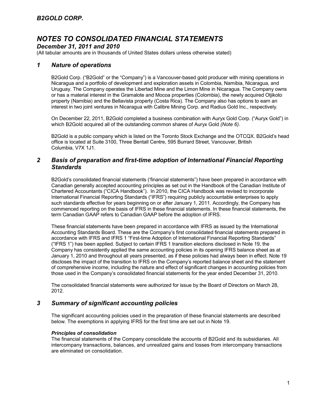### *December 31, 2011 and 2010*

(All tabular amounts are in thousands of United States dollars unless otherwise stated)

### *1 Nature of operations*

B2Gold Corp. ("B2Gold" or the "Company") is a Vancouver-based gold producer with mining operations in Nicaragua and a portfolio of development and exploration assets in Colombia, Namibia, Nicaragua, and Uruguay. The Company operates the Libertad Mine and the Limon Mine in Nicaragua. The Company owns or has a material interest in the Gramalote and Mocoa properties (Colombia), the newly acquired Otjikoto property (Namibia) and the Bellavista property (Costa Rica). The Company also has options to earn an interest in two joint ventures in Nicaragua with Calibre Mining Corp. and Radius Gold Inc., respectively.

On December 22, 2011, B2Gold completed a business combination with Auryx Gold Corp. ("Auryx Gold") in which B2Gold acquired all of the outstanding common shares of Auryx Gold *(Note 6)*.

B2Gold is a public company which is listed on the Toronto Stock Exchange and the OTCQX. B2Gold's head office is located at Suite 3100, Three Bentall Centre, 595 Burrard Street, Vancouver, British Columbia, V7X 1J1.

### *2 Basis of preparation and first-time adoption of International Financial Reporting Standards*

B2Gold's consolidated financial statements ('financial statements") have been prepared in accordance with Canadian generally accepted accounting principles as set out in the Handbook of the Canadian Institute of Chartered Accountants ("CICA Handbook"). In 2010, the CICA Handbook was revised to incorporate International Financial Reporting Standards ("IFRS") requiring publicly accountable enterprises to apply such standards effective for years beginning on or after January 1, 2011. Accordingly, the Company has commenced reporting on the basis of IFRS in these financial statements. In these financial statements, the term Canadian GAAP refers to Canadian GAAP before the adoption of IFRS.

These financial statements have been prepared in accordance with IFRS as issued by the International Accounting Standards Board. These are the Company's first consolidated financial statements prepared in accordance with IFRS and IFRS 1 "First-time Adoption of International Financial Reporting Standards" ("IFRS 1") has been applied. Subject to certain IFRS 1 transition elections disclosed in Note 19, the Company has consistently applied the same accounting policies in its opening IFRS balance sheet as at January 1, 2010 and throughout all years presented, as if these policies had always been in effect. Note 19 discloses the impact of the transition to IFRS on the Company's reported balance sheet and the statement of comprehensive income, including the nature and effect of significant changes in accounting policies from those used in the Company's consolidated financial statements for the year ended December 31, 2010.

The consolidated financial statements were authorized for issue by the Board of Directors on March 28, 2012.

### *3 Summary of significant accounting policies*

The significant accounting policies used in the preparation of these financial statements are described below. The exemptions in applying IFRS for the first time are set out in Note 19.

#### *Principles of consolidation*

The financial statements of the Company consolidate the accounts of B2Gold and its subsidiaries. All intercompany transactions, balances, and unrealized gains and losses from intercompany transactions are eliminated on consolidation.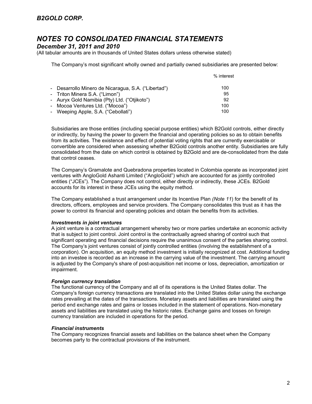## *December 31, 2011 and 2010*

(All tabular amounts are in thousands of United States dollars unless otherwise stated)

The Company's most significant wholly owned and partially owned subsidiaries are presented below:

|                                                     | % interest |
|-----------------------------------------------------|------------|
| - Desarrollo Minero de Nicaragua, S.A. ("Libertad") | 100        |
| - Triton Minera S.A. ("Limon")                      | 95         |
| - Auryx Gold Namibia (Pty) Ltd. ("Otjikoto")        | 92         |
| - Mocoa Ventures Ltd. ("Mocoa")                     | 100        |
| - Weeping Apple, S.A. ("Cebollati")                 | 100        |
|                                                     |            |

Subsidiaries are those entities (including special purpose entities) which B2Gold controls, either directly or indirectly, by having the power to govern the financial and operating policies so as to obtain benefits from its activities. The existence and effect of potential voting rights that are currently exercisable or convertible are considered when assessing whether B2Gold controls another entity. Subsidiaries are fully consolidated from the date on which control is obtained by B2Gold and are de-consolidated from the date that control ceases.

The Company's Gramalote and Quebradona properties located in Colombia operate as incorporated joint ventures with AngloGold Ashanti Limited ("AngloGold") which are accounted for as jointly controlled entities ("JCEs"). The Company does not control, either directly or indirectly, these JCEs. B2Gold accounts for its interest in these JCEs using the equity method.

The Company established a trust arrangement under its Incentive Plan *(Note 11*) for the benefit of its directors, officers, employees and service providers. The Company consolidates this trust as it has the power to control its financial and operating policies and obtain the benefits from its activities.

#### *Investments in joint ventures*

A joint venture is a contractual arrangement whereby two or more parties undertake an economic activity that is subject to joint control. Joint control is the contractually agreed sharing of control such that significant operating and financial decisions require the unanimous consent of the parties sharing control. The Company's joint ventures consist of jointly controlled entities (involving the establishment of a corporation). On acquisition, an equity method investment is initially recognized at cost. Additional funding into an investee is recorded as an increase in the carrying value of the investment. The carrying amount is adjusted by the Company's share of post-acquisition net income or loss, depreciation, amortization or impairment.

#### *Foreign currency translation*

The functional currency of the Company and all of its operations is the United States dollar. The Company's foreign currency transactions are translated into the United States dollar using the exchange rates prevailing at the dates of the transactions. Monetary assets and liabilities are translated using the period end exchange rates and gains or losses included in the statement of operations. Non-monetary assets and liabilities are translated using the historic rates. Exchange gains and losses on foreign currency translation are included in operations for the period.

#### *Financial instruments*

The Company recognizes financial assets and liabilities on the balance sheet when the Company becomes party to the contractual provisions of the instrument.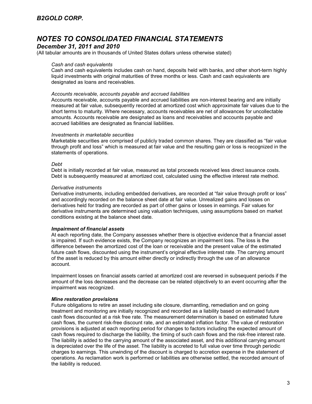### *December 31, 2011 and 2010*

(All tabular amounts are in thousands of United States dollars unless otherwise stated)

#### *Cash and cash equivalents*

Cash and cash equivalents includes cash on hand, deposits held with banks, and other short-term highly liquid investments with original maturities of three months or less. Cash and cash equivalents are designated as loans and receivables.

#### *Accounts receivable, accounts payable and accrued liabilities*

Accounts receivable, accounts payable and accrued liabilities are non-interest bearing and are initially measured at fair value, subsequently recorded at amortized cost which approximate fair values due to the short terms to maturity. Where necessary, accounts receivables are net of allowances for uncollectable amounts. Accounts receivable are designated as loans and receivables and accounts payable and accrued liabilities are designated as financial liabilities.

#### *Investments in marketable securities*

Marketable securities are comprised of publicly traded common shares. They are classified as "fair value through profit and loss" which is measured at fair value and the resulting gain or loss is recognized in the statements of operations.

#### *Debt*

Debt is initially recorded at fair value, measured as total proceeds received less direct issuance costs. Debt is subsequently measured at amortized cost, calculated using the effective interest rate method.

#### *Derivative instruments*

Derivative instruments, including embedded derivatives, are recorded at "fair value through profit or loss" and accordingly recorded on the balance sheet date at fair value. Unrealized gains and losses on derivatives held for trading are recorded as part of other gains or losses in earnings. Fair values for derivative instruments are determined using valuation techniques, using assumptions based on market conditions existing at the balance sheet date.

#### *Impairment of financial assets*

At each reporting date, the Company assesses whether there is objective evidence that a financial asset is impaired. If such evidence exists, the Company recognizes an impairment loss. The loss is the difference between the amortized cost of the loan or receivable and the present value of the estimated future cash flows, discounted using the instrument's original effective interest rate. The carrying amount of the asset is reduced by this amount either directly or indirectly through the use of an allowance account.

Impairment losses on financial assets carried at amortized cost are reversed in subsequent periods if the amount of the loss decreases and the decrease can be related objectively to an event occurring after the impairment was recognized.

#### *Mine restoration provisions*

Future obligations to retire an asset including site closure, dismantling, remediation and on going treatment and monitoring are initially recognized and recorded as a liability based on estimated future cash flows discounted at a risk free rate. The measurement determination is based on estimated future cash flows, the current risk-free discount rate, and an estimated inflation factor. The value of restoration provisions is adjusted at each reporting period for changes to factors including the expected amount of cash flows required to discharge the liability, the timing of such cash flows and the risk-free interest rate. The liability is added to the carrying amount of the associated asset, and this additional carrying amount is depreciated over the life of the asset. The liability is accreted to full value over time through periodic charges to earnings. This unwinding of the discount is charged to accretion expense in the statement of operations. As reclamation work is performed or liabilities are otherwise settled, the recorded amount of the liability is reduced.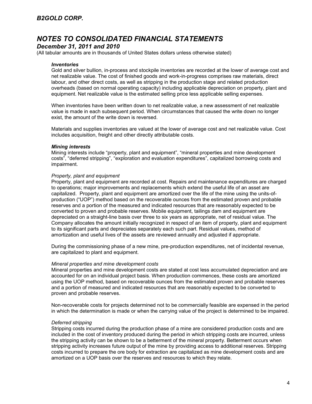### *December 31, 2011 and 2010*

(All tabular amounts are in thousands of United States dollars unless otherwise stated)

#### *Inventories*

Gold and silver bullion, in-process and stockpile inventories are recorded at the lower of average cost and net realizable value. The cost of finished goods and work-in-progress comprises raw materials, direct labour, and other direct costs, as well as stripping in the production stage and related production overheads (based on normal operating capacity) including applicable depreciation on property, plant and equipment. Net realizable value is the estimated selling price less applicable selling expenses.

When inventories have been written down to net realizable value, a new assessment of net realizable value is made in each subsequent period. When circumstances that caused the write down no longer exist, the amount of the write down is reversed.

Materials and supplies inventories are valued at the lower of average cost and net realizable value. Cost includes acquisition, freight and other directly attributable costs.

#### *Mining interests*

Mining interests include "property, plant and equipment", "mineral properties and mine development costs", "deferred stripping", "exploration and evaluation expenditures", capitalized borrowing costs and impairment.

#### *Property, plant and equipment*

Property, plant and equipment are recorded at cost. Repairs and maintenance expenditures are charged to operations; major improvements and replacements which extend the useful life of an asset are capitalized. Property, plant and equipment are amortized over the life of the mine using the units-ofproduction ("UOP") method based on the recoverable ounces from the estimated proven and probable reserves and a portion of the measured and indicated resources that are reasonably expected to be converted to proven and probable reserves. Mobile equipment, tailings dam and equipment are depreciated on a straight-line basis over three to six years as appropriate, net of residual value. The Company allocates the amount initially recognized in respect of an item of property, plant and equipment to its significant parts and depreciates separately each such part. Residual values, method of amortization and useful lives of the assets are reviewed annually and adjusted if appropriate.

During the commissioning phase of a new mine, pre-production expenditures, net of incidental revenue, are capitalized to plant and equipment.

#### *Mineral properties and mine development costs*

Mineral properties and mine development costs are stated at cost less accumulated depreciation and are accounted for on an individual project basis. When production commences, these costs are amortized using the UOP method, based on recoverable ounces from the estimated proven and probable reserves and a portion of measured and indicated resources that are reasonably expected to be converted to proven and probable reserves.

Non-recoverable costs for projects determined not to be commercially feasible are expensed in the period in which the determination is made or when the carrying value of the project is determined to be impaired.

#### *Deferred stripping*

Stripping costs incurred during the production phase of a mine are considered production costs and are included in the cost of inventory produced during the period in which stripping costs are incurred, unless the stripping activity can be shown to be a betterment of the mineral property. Betterment occurs when stripping activity increases future output of the mine by providing access to additional reserves. Stripping costs incurred to prepare the ore body for extraction are capitalized as mine development costs and are amortized on a UOP basis over the reserves and resources to which they relate.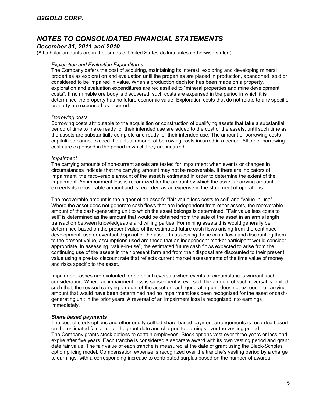### *December 31, 2011 and 2010*

(All tabular amounts are in thousands of United States dollars unless otherwise stated)

#### *Exploration and Evaluation Expenditures*

The Company defers the cost of acquiring, maintaining its interest, exploring and developing mineral properties as exploration and evaluation until the properties are placed in production, abandoned, sold or considered to be impaired in value. When a production decision has been made on a property, exploration and evaluation expenditures are reclassified to "mineral properties and mine development costs". If no minable ore body is discovered, such costs are expensed in the period in which it is determined the property has no future economic value. Exploration costs that do not relate to any specific property are expensed as incurred.

#### *Borrowing costs*

Borrowing costs attributable to the acquisition or construction of qualifying assets that take a substantial period of time to make ready for their intended use are added to the cost of the assets, until such time as the assets are substantially complete and ready for their intended use. The amount of borrowing costs capitalized cannot exceed the actual amount of borrowing costs incurred in a period. All other borrowing costs are expensed in the period in which they are incurred.

#### *Impairment*

The carrying amounts of non-current assets are tested for impairment when events or changes in circumstances indicate that the carrying amount may not be recoverable. If there are indicators of impairment, the recoverable amount of the asset is estimated in order to determine the extent of the impairment. An impairment loss is recognized for the amount by which the asset's carrying amount exceeds its recoverable amount and is recorded as an expense in the statement of operations.

The recoverable amount is the higher of an asset's "fair value less costs to sell" and "value-in-use". Where the asset does not generate cash flows that are independent from other assets, the recoverable amount of the cash-generating unit to which the asset belongs is determined. "Fair value less costs to sell" is determined as the amount that would be obtained from the sale of the asset in an arm's length transaction between knowledgeable and willing parties. For mining assets this would generally be determined based on the present value of the estimated future cash flows arising from the continued development, use or eventual disposal of the asset. In assessing these cash flows and discounting them to the present value, assumptions used are those that an independent market participant would consider appropriate. In assessing "value-in-use", the estimated future cash flows expected to arise from the continuing use of the assets in their present form and from their disposal are discounted to their present value using a pre-tax discount rate that reflects current market assessments of the time value of money and risks specific to the asset.

Impairment losses are evaluated for potential reversals when events or circumstances warrant such consideration. Where an impairment loss is subsequently reversed, the amount of such reversal is limited such that, the revised carrying amount of the asset or cash-generating unit does not exceed the carrying amount that would have been determined had no impairment loss been recognized for the asset or cashgenerating unit in the prior years. A reversal of an impairment loss is recognized into earnings immediately.

#### *Share based payments*

The cost of stock options and other equity-settled share-based payment arrangements is recorded based on the estimated fair-value at the grant date and charged to earnings over the vesting period. The Company grants stock options to certain employees. Stock options vest over three years or less and expire after five years. Each tranche is considered a separate award with its own vesting period and grant date fair value. The fair value of each tranche is measured at the date of grant using the Black-Scholes option pricing model. Compensation expense is recognized over the tranche's vesting period by a charge to earnings, with a corresponding increase to contributed surplus based on the number of awards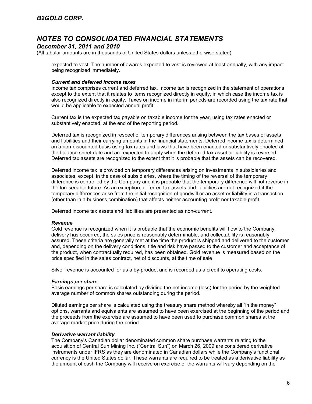### *December 31, 2011 and 2010*

(All tabular amounts are in thousands of United States dollars unless otherwise stated)

expected to vest. The number of awards expected to vest is reviewed at least annually, with any impact being recognized immediately.

#### *Current and deferred income taxes*

Income tax comprises current and deferred tax. Income tax is recognized in the statement of operations except to the extent that it relates to items recognized directly in equity, in which case the income tax is also recognized directly in equity. Taxes on income in interim periods are recorded using the tax rate that would be applicable to expected annual profit.

Current tax is the expected tax payable on taxable income for the year, using tax rates enacted or substantively enacted, at the end of the reporting period.

Deferred tax is recognized in respect of temporary differences arising between the tax bases of assets and liabilities and their carrying amounts in the financial statements. Deferred income tax is determined on a non-discounted basis using tax rates and laws that have been enacted or substantively enacted at the balance sheet date and are expected to apply when the deferred tax asset or liability is reversed. Deferred tax assets are recognized to the extent that it is probable that the assets can be recovered.

Deferred income tax is provided on temporary differences arising on investments in subsidiaries and associates, except, in the case of subsidiaries, where the timing of the reversal of the temporary difference is controlled by the Company and it is probable that the temporary difference will not reverse in the foreseeable future. As an exception, deferred tax assets and liabilities are not recognized if the temporary differences arise from the initial recognition of goodwill or an asset or liability in a transaction (other than in a business combination) that affects neither accounting profit nor taxable profit.

Deferred income tax assets and liabilities are presented as non-current.

#### *Revenue*

Gold revenue is recognized when it is probable that the economic benefits will flow to the Company, delivery has occurred, the sales price is reasonably determinable, and collectability is reasonably assured. These criteria are generally met at the time the product is shipped and delivered to the customer and, depending on the delivery conditions, title and risk have passed to the customer and acceptance of the product, when contractually required, has been obtained. Gold revenue is measured based on the price specified in the sales contract, net of discounts, at the time of sale

Silver revenue is accounted for as a by-product and is recorded as a credit to operating costs.

#### *Earnings per share*

Basic earnings per share is calculated by dividing the net income (loss) for the period by the weighted average number of common shares outstanding during the period.

Diluted earnings per share is calculated using the treasury share method whereby all "in the money" options, warrants and equivalents are assumed to have been exercised at the beginning of the period and the proceeds from the exercise are assumed to have been used to purchase common shares at the average market price during the period.

#### *Derivative warrant liability*

The Company's Canadian dollar denominated common share purchase warrants relating to the acquisition of Central Sun Mining Inc. ("Central Sun") on March 26, 2009 are considered derivative instruments under IFRS as they are denominated in Canadian dollars while the Company's functional currency is the United States dollar. These warrants are required to be treated as a derivative liability as the amount of cash the Company will receive on exercise of the warrants will vary depending on the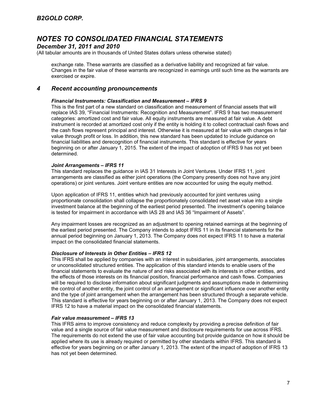### *December 31, 2011 and 2010*

(All tabular amounts are in thousands of United States dollars unless otherwise stated)

exchange rate. These warrants are classified as a derivative liability and recognized at fair value. Changes in the fair value of these warrants are recognized in earnings until such time as the warrants are exercised or expire.

## *4 Recent accounting pronouncements*

#### *Financial Instruments: Classification and Measurement – IFRS 9*

This is the first part of a new standard on classification and measurement of financial assets that will replace IAS 39, "Financial Instruments: Recognition and Measurement". IFRS 9 has two measurement categories: amortized cost and fair value. All equity instruments are measured at fair value. A debt instrument is recorded at amortized cost only if the entity is holding it to collect contractual cash flows and the cash flows represent principal and interest. Otherwise it is measured at fair value with changes in fair value through profit or loss. In addition, this new standard has been updated to include guidance on financial liabilities and derecognition of financial instruments. This standard is effective for years beginning on or after January 1, 2015. The extent of the impact of adoption of IFRS 9 has not yet been determined.

#### *Joint Arrangements – IFRS 11*

This standard replaces the guidance in IAS 31 Interests in Joint Ventures. Under IFRS 11, joint arrangements are classified as either joint operations (the Company presently does not have any joint operations) or joint ventures. Joint venture entities are now accounted for using the equity method.

Upon application of IFRS 11, entities which had previously accounted for joint ventures using proportionate consolidation shall collapse the proportionately consolidated net asset value into a single investment balance at the beginning of the earliest period presented. The investment's opening balance is tested for impairment in accordance with IAS 28 and IAS 36 "Impairment of Assets".

Any impairment losses are recognized as an adjustment to opening retained earnings at the beginning of the earliest period presented. The Company intends to adopt IFRS 11 in its financial statements for the annual period beginning on January 1, 2013. The Company does not expect IFRS 11 to have a material impact on the consolidated financial statements.

#### *Disclosure of Interests in Other Entities – IFRS 12*

This IFRS shall be applied by companies with an interest in subsidiaries, joint arrangements, associates or unconsolidated structured entities. The application of this standard intends to enable users of the financial statements to evaluate the nature of and risks associated with its interests in other entities, and the effects of those interests on its financial position, financial performance and cash flows. Companies will be required to disclose information about significant judgments and assumptions made in determining the control of another entity, the joint control of an arrangement or significant influence over another entity and the type of joint arrangement when the arrangement has been structured through a separate vehicle. This standard is effective for years beginning on or after January 1, 2013. The Company does not expect IFRS 12 to have a material impact on the consolidated financial statements.

#### *Fair value measurement – IFRS 13*

This IFRS aims to improve consistency and reduce complexity by providing a precise definition of fair value and a single source of fair value measurement and disclosure requirements for use across IFRS. The requirements do not extend the use of fair value accounting but provide guidance on how it should be applied where its use is already required or permitted by other standards within IFRS. This standard is effective for years beginning on or after January 1, 2013. The extent of the impact of adoption of IFRS 13 has not yet been determined.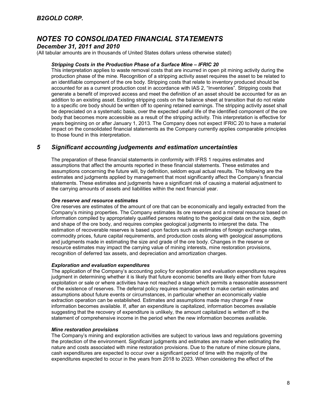### *December 31, 2011 and 2010*

(All tabular amounts are in thousands of United States dollars unless otherwise stated)

#### *Stripping Costs in the Production Phase of a Surface Mine – IFRIC 20*

This interpretation applies to waste removal costs that are incurred in open pit mining activity during the production phase of the mine. Recognition of a stripping activity asset requires the asset to be related to an identifiable component of the ore body. Stripping costs that relate to inventory produced should be accounted for as a current production cost in accordance with IAS 2, "Inventories". Stripping costs that generate a benefit of improved access and meet the definition of an asset should be accounted for as an addition to an existing asset. Existing stripping costs on the balance sheet at transition that do not relate to a specific ore body should be written off to opening retained earnings. The stripping activity asset shall be depreciated on a systematic basis, over the expected useful life of the identified component of the ore body that becomes more accessible as a result of the stripping activity. This interpretation is effective for years beginning on or after January 1, 2013. The Company does not expect IFRIC 20 to have a material impact on the consolidated financial statements as the Company currently applies comparable principles to those found in this interpretation.

## *5 Significant accounting judgements and estimation uncertainties*

The preparation of these financial statements in conformity with IFRS 1 requires estimates and assumptions that affect the amounts reported in these financial statements. These estimates and assumptions concerning the future will, by definition, seldom equal actual results. The following are the estimates and judgments applied by management that most significantly affect the Company's financial statements. These estimates and judgments have a significant risk of causing a material adjustment to the carrying amounts of assets and liabilities within the next financial year.

#### *Ore reserve and resource estimates*

Ore reserves are estimates of the amount of ore that can be economically and legally extracted from the Company's mining properties. The Company estimates its ore reserves and a mineral resource based on information compiled by appropriately qualified persons relating to the geological data on the size, depth and shape of the ore body, and requires complex geological judgments to interpret the data. The estimation of recoverable reserves is based upon factors such as estimates of foreign exchange rates, commodity prices, future capital requirements, and production costs along with geological assumptions and judgments made in estimating the size and grade of the ore body. Changes in the reserve or resource estimates may impact the carrying value of mining interests, mine restoration provisions, recognition of deferred tax assets, and depreciation and amortization charges.

#### *Exploration and evaluation expenditures*

The application of the Company's accounting policy for exploration and evaluation expenditures requires judgment in determining whether it is likely that future economic benefits are likely either from future exploitation or sale or where activities have not reached a stage which permits a reasonable assessment of the existence of reserves. The deferral policy requires management to make certain estimates and assumptions about future events or circumstances, in particular whether an economically viable extraction operation can be established. Estimates and assumptions made may change if new information becomes available. If, after an expenditure is capitalized, information becomes available suggesting that the recovery of expenditure is unlikely, the amount capitalized is written off in the statement of comprehensive income in the period when the new information becomes available.

#### *Mine restoration provisions*

The Company's mining and exploration activities are subject to various laws and regulations governing the protection of the environment. Significant judgments and estimates are made when estimating the nature and costs associated with mine restoration provisions. Due to the nature of mine closure plans, cash expenditures are expected to occur over a significant period of time with the majority of the expenditures expected to occur in the years from 2018 to 2023. When considering the effect of the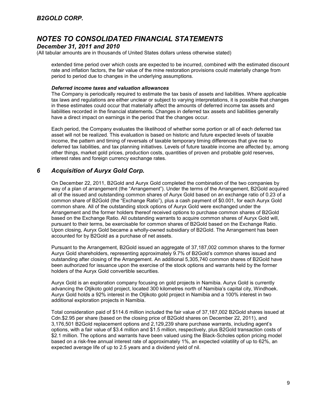### *December 31, 2011 and 2010*

(All tabular amounts are in thousands of United States dollars unless otherwise stated)

extended time period over which costs are expected to be incurred, combined with the estimated discount rate and inflation factors, the fair value of the mine restoration provisions could materially change from period to period due to changes in the underlying assumptions.

#### *Deferred income taxes and valuation allowances*

The Company is periodically required to estimate the tax basis of assets and liabilities. Where applicable tax laws and regulations are either unclear or subject to varying interpretations, it is possible that changes in these estimates could occur that materially affect the amounts of deferred income tax assets and liabilities recorded in the financial statements. Changes in deferred tax assets and liabilities generally have a direct impact on earnings in the period that the changes occur.

Each period, the Company evaluates the likelihood of whether some portion or all of each deferred tax asset will not be realized. This evaluation is based on historic and future expected levels of taxable income, the pattern and timing of reversals of taxable temporary timing differences that give rise to deferred tax liabilities, and tax planning initiatives. Levels of future taxable income are affected by, among other things, market gold prices, production costs, quantities of proven and probable gold reserves, interest rates and foreign currency exchange rates.

## *6 Acquisition of Auryx Gold Corp.*

On December 22, 2011, B2Gold and Auryx Gold completed the combination of the two companies by way of a plan of arrangement (the "Arrangement"). Under the terms of the Arrangement, B2Gold acquired all of the issued and outstanding common shares of Auryx Gold based on an exchange ratio of 0.23 of a common share of B2Gold (the "Exchange Ratio"), plus a cash payment of \$0.001, for each Auryx Gold common share. All of the outstanding stock options of Auryx Gold were exchanged under the Arrangement and the former holders thereof received options to purchase common shares of B2Gold based on the Exchange Ratio. All outstanding warrants to acquire common shares of Auryx Gold will, pursuant to their terms, be exercisable for common shares of B2Gold based on the Exchange Ratio. Upon closing, Auryx Gold became a wholly-owned subsidiary of B2Gold. The Arrangement has been accounted for by B2Gold as a purchase of net assets.

Pursuant to the Arrangement, B2Gold issued an aggregate of 37,187,002 common shares to the former Auryx Gold shareholders, representing approximately 9.7% of B2Gold's common shares issued and outstanding after closing of the Arrangement. An additional 5,305,740 common shares of B2Gold have been authorized for issuance upon the exercise of the stock options and warrants held by the former holders of the Auryx Gold convertible securities.

Auryx Gold is an exploration company focusing on gold projects in Namibia. Auryx Gold is currently advancing the Otjikoto gold project, located 300 kilometres north of Namibia's capital city, Windhoek. Auryx Gold holds a 92% interest in the Otjikoto gold project in Namibia and a 100% interest in two additional exploration projects in Namibia.

Total consideration paid of \$114.6 million included the fair value of 37,187,002 B2Gold shares issued at Cdn.\$2.95 per share (based on the closing price of B2Gold shares on December 22, 2011), and 3,176,501 B2Gold replacement options and 2,129,239 share purchase warrants, including agent's options, with a fair value of \$3.4 million and \$1.5 million, respectively, plus B2Gold transaction costs of \$2.1 million. The options and warrants have been valued using the Black-Scholes option pricing model based on a risk-free annual interest rate of approximately 1%, an expected volatility of up to 62%, an expected average life of up to 2.5 years and a dividend yield of nil.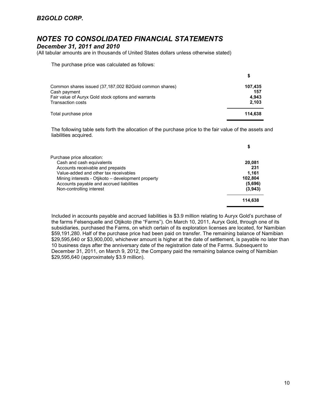### *December 31, 2011 and 2010*

(All tabular amounts are in thousands of United States dollars unless otherwise stated)

The purchase price was calculated as follows:

| 107,435 |
|---------|
| 157     |
| 4.943   |
| 2.103   |
| 114.638 |
|         |

The following table sets forth the allocation of the purchase price to the fair value of the assets and liabilities acquired.

| Purchase price allocation:                         |         |
|----------------------------------------------------|---------|
| Cash and cash equivalents                          | 20.081  |
| Accounts receivable and prepaids                   | 231     |
| Value-added and other tax receivables              | 1.161   |
| Mining interests - Otjikoto - development property | 102.804 |
| Accounts payable and accrued liabilities           | (5,696) |
| Non-controlling interest                           | (3,943) |
|                                                    | 114.638 |
|                                                    |         |

Included in accounts payable and accrued liabilities is \$3.9 million relating to Auryx Gold's purchase of the farms Felsenquelle and Otjikoto (the "Farms"). On March 10, 2011, Auryx Gold, through one of its subsidiaries, purchased the Farms, on which certain of its exploration licenses are located, for Namibian \$59,191,280. Half of the purchase price had been paid on transfer. The remaining balance of Namibian \$29,595,640 or \$3,900,000, whichever amount is higher at the date of settlement, is payable no later than 10 business days after the anniversary date of the registration date of the Farms. Subsequent to December 31, 2011, on March 9, 2012, the Company paid the remaining balance owing of Namibian \$29,595,640 (approximately \$3.9 million).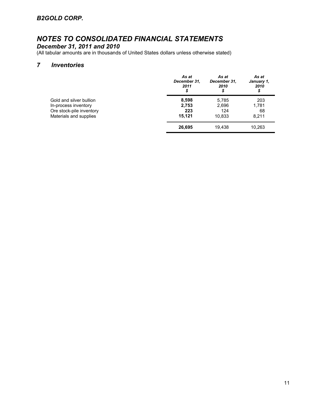## *December 31, 2011 and 2010*

(All tabular amounts are in thousands of United States dollars unless otherwise stated)

## *7 Inventories*

|                          | As at<br>December 31.<br>2011<br>S | As at<br>December 31.<br>2010<br>\$ | As at<br>January 1,<br>2010<br>\$ |
|--------------------------|------------------------------------|-------------------------------------|-----------------------------------|
| Gold and silver bullion  | 8,598                              | 5,785                               | 203                               |
| In-process inventory     | 2,753                              | 2,696                               | 1,781                             |
| Ore stock-pile inventory | 223                                | 124                                 | 68                                |
| Materials and supplies   | 15.121                             | 10.833                              | 8,211                             |
|                          | 26,695                             | 19.438                              | 10,263                            |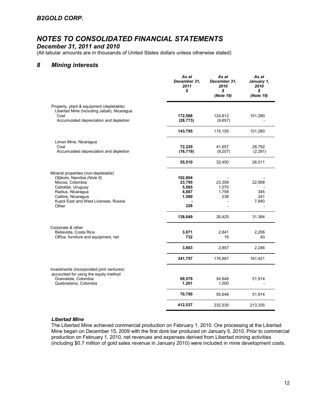## *B2GOLD CORP.*

## *NOTES TO CONSOLIDATED FINANCIAL STATEMENTS*

### *December 31, 2011 and 2010*

(All tabular amounts are in thousands of United States dollars unless otherwise stated)

### *8 Mining interests*

|                                                                                                                                   | As at<br>December 31,<br>2011<br>\$ | As at<br>December 31,<br>2010<br>\$<br>(Note 19) | As at<br>January 1,<br>2010<br>\$<br>(Note 19) |
|-----------------------------------------------------------------------------------------------------------------------------------|-------------------------------------|--------------------------------------------------|------------------------------------------------|
| Property, plant & equipment (depletable)<br>Libertad Mine (including Jabali), Nicaragua                                           |                                     |                                                  |                                                |
| Cost<br>Accumulated depreciation and depletion                                                                                    | 172,568<br>(28, 773)                | 124,812<br>(9,657)                               | 101,280                                        |
|                                                                                                                                   | 143,795                             | 115,155                                          | 101,280                                        |
| Limon Mine, Nicaragua                                                                                                             |                                     |                                                  |                                                |
| Cost<br>Accumulated depreciation and depletion                                                                                    | 72,229<br>(16, 719)                 | 41,657<br>(9, 207)                               | 28,792<br>(2, 281)                             |
|                                                                                                                                   | 55,510                              | 32,450                                           | 26,511                                         |
| Mineral properties (non-depletable)<br>Otjikoto, Namibia (Note 6)                                                                 | 102,804                             |                                                  |                                                |
| Mocoa, Colombia                                                                                                                   | 23,795                              | 23,359                                           | 22,958                                         |
| Cebollati, Uruguay                                                                                                                | 5,565                               | 1,070                                            |                                                |
| Radius, Nicaragua                                                                                                                 | 4,667                               | 1,758                                            | 345                                            |
| Calibre, Nicaragua                                                                                                                | 1,590                               | 238                                              | 241                                            |
| Kupol East and West Licenses, Russia                                                                                              |                                     |                                                  | 7,840                                          |
| Other                                                                                                                             | 228                                 |                                                  |                                                |
|                                                                                                                                   | 138,649                             | 26,425                                           | 31,384                                         |
| Corporate & other                                                                                                                 |                                     |                                                  |                                                |
| Bellavista, Costa Rica<br>Office, furniture and equipment, net                                                                    | 3,071<br>732                        | 2,841<br>16                                      | 2,206<br>40                                    |
|                                                                                                                                   | 3,803                               | 2,857                                            | 2,246                                          |
|                                                                                                                                   | 341,757                             | 176,887                                          | 161,421                                        |
| Investments (incorporated joint ventures)<br>accounted for using the equity method<br>Gramalote, Colombia<br>Quebradona, Colombia | 69,579<br>1,201                     | 54,648<br>1,000                                  | 51,914                                         |
|                                                                                                                                   | 70,780                              | 55,648                                           | 51,914                                         |
|                                                                                                                                   | 412,537                             | 232,535                                          | 213,335                                        |

#### *Libertad Mine*

The Libertad Mine achieved commercial production on February 1, 2010. Ore processing at the Libertad Mine began on December 15, 2009 with the first doré bar produced on January 5, 2010. Prior to commercial production on February 1, 2010, net revenues and expenses derived from Libertad mining activities (including \$0.7 million of gold sales revenue in January 2010) were included in mine development costs.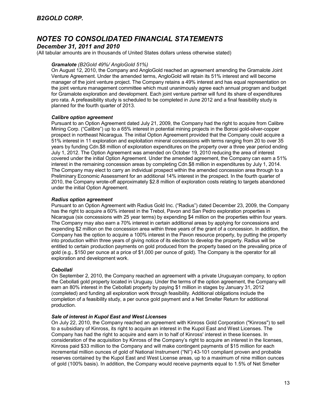### *December 31, 2011 and 2010*

(All tabular amounts are in thousands of United States dollars unless otherwise stated)

#### *Gramalote (B2Gold 49%/ AngloGold 51%)*

On August 12, 2010, the Company and AngloGold reached an agreement amending the Gramalote Joint Venture Agreement. Under the amended terms, AngloGold will retain its 51% interest and will become manager of the joint venture project. The Company retains a 49% interest and has equal representation on the joint venture management committee which must unanimously agree each annual program and budget for Gramalote exploration and development. Each joint venture partner will fund its share of expenditures pro rata. A prefeasibility study is scheduled to be completed in June 2012 and a final feasibility study is planned for the fourth quarter of 2013.

#### *Calibre option agreement*

Pursuant to an Option Agreement dated July 21, 2009, the Company had the right to acquire from Calibre Mining Corp. ("Calibre") up to a 65% interest in potential mining projects in the Borosi gold-silver-copper prospect in northeast Nicaragua. The initial Option Agreement provided that the Company could acquire a 51% interest in 11 exploration and exploitation mineral concessions with terms ranging from 20 to over 35 years by funding Cdn.\$8 million of exploration expenditures on the property over a three year period ending July 1, 2012. The Option Agreement was amended on October 19, 2010 reducing the area of interest covered under the initial Option Agreement. Under the amended agreement, the Company can earn a 51% interest in the remaining concession areas by completing Cdn.\$8 million in expenditures by July 1, 2014. The Company may elect to carry an individual prospect within the amended concession area through to a Preliminary Economic Assessment for an additional 14% interest in the prospect. In the fourth quarter of 2010, the Company wrote-off approximately \$2.8 million of exploration costs relating to targets abandoned under the initial Option Agreement.

#### *Radius option agreement*

Pursuant to an Option Agreement with Radius Gold Inc. ("Radius") dated December 23, 2009, the Company has the right to acquire a 60% interest in the Trebol, Pavon and San Pedro exploration properties in Nicaragua (six concessions with 25 year terms) by expending \$4 million on the properties within four years. The Company may also earn a 70% interest in certain additional areas by applying for concessions and expending \$2 million on the concession area within three years of the grant of a concession. In addition, the Company has the option to acquire a 100% interest in the Pavon resource property, by putting the property into production within three years of giving notice of its election to develop the property. Radius will be entitled to certain production payments on gold produced from the property based on the prevailing price of gold (e.g., \$150 per ounce at a price of \$1,000 per ounce of gold). The Company is the operator for all exploration and development work.

#### *Cebollati*

On September 2, 2010, the Company reached an agreement with a private Uruguayan company, to option the Cebollati gold property located in Uruguay. Under the terms of the option agreement, the Company will earn an 80% interest in the Cebollati property by paying \$1 million in stages by January 31, 2012 (completed) and funding all exploration work through feasibility. Additional obligations include the completion of a feasibility study, a per ounce gold payment and a Net Smelter Return for additional production.

#### *Sale of interest in Kupol East and West Licenses*

On July 22, 2010, the Company reached an agreement with Kinross Gold Corporation ("Kinross") to sell to a subsidiary of Kinross, its right to acquire an interest in the Kupol East and West Licenses. The Company has had the right to acquire and earn in to half of Kinross' interest in these licenses. In consideration of the acquisition by Kinross of the Company's right to acquire an interest in the licenses, Kinross paid \$33 million to the Company and will make contingent payments of \$15 million for each incremental million ounces of gold of National Instrument ("NI") 43-101 compliant proven and probable reserves contained by the Kupol East and West License areas, up to a maximum of nine million ounces of gold (100% basis). In addition, the Company would receive payments equal to 1.5% of Net Smelter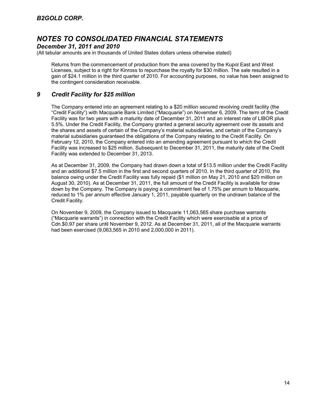### *December 31, 2011 and 2010*

(All tabular amounts are in thousands of United States dollars unless otherwise stated)

Returns from the commencement of production from the area covered by the Kupol East and West Licenses, subject to a right for Kinross to repurchase the royalty for \$30 million. The sale resulted in a gain of \$24.1 million in the third quarter of 2010. For accounting purposes, no value has been assigned to the contingent consideration receivable.

## *9 Credit Facility for \$25 million*

The Company entered into an agreement relating to a \$20 million secured revolving credit facility (the "Credit Facility") with Macquarie Bank Limited ("Macquarie") on November 6, 2009. The term of the Credit Facility was for two years with a maturity date of December 31, 2011 and an interest rate of LIBOR plus 5.5%. Under the Credit Facility, the Company granted a general security agreement over its assets and the shares and assets of certain of the Company's material subsidiaries, and certain of the Company's material subsidiaries guaranteed the obligations of the Company relating to the Credit Facility. On February 12, 2010, the Company entered into an amending agreement pursuant to which the Credit Facility was increased to \$25 million. Subsequent to December 31, 2011, the maturity date of the Credit Facility was extended to December 31, 2013.

As at December 31, 2009, the Company had drawn down a total of \$13.5 million under the Credit Facility and an additional \$7.5 million in the first and second quarters of 2010. In the third quarter of 2010, the balance owing under the Credit Facility was fully repaid (\$1 million on May 21, 2010 and \$20 million on August 30, 2010). As at December 31, 2011, the full amount of the Credit Facility is available for draw down by the Company. The Company is paying a commitment fee of 1.75% per annum to Macquarie, reduced to 1% per annum effective January 1, 2011, payable quarterly on the undrawn balance of the Credit Facility.

On November 9, 2009, the Company issued to Macquarie 11,063,565 share purchase warrants ("Macquarie warrants") in connection with the Credit Facility which were exercisable at a price of Cdn.\$0.97 per share until November 9, 2012. As at December 31, 2011, all of the Macquarie warrants had been exercised (9,063,565 in 2010 and 2,000,000 in 2011).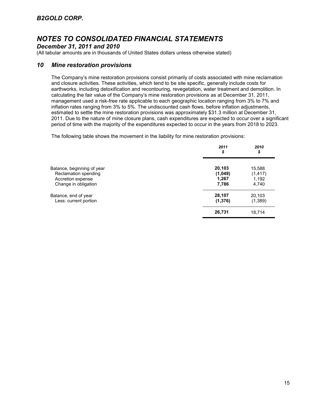*December 31, 2011 and 2010*

(All tabular amounts are in thousands of United States dollars unless otherwise stated)

## *10 Mine restoration provisions*

The Company's mine restoration provisions consist primarily of costs associated with mine reclamation and closure activities. These activities, which tend to be site specific, generally include costs for earthworks, including detoxification and recontouring, revegetation, water treatment and demolition. In calculating the fair value of the Company's mine restoration provisions as at December 31, 2011, management used a risk-free rate applicable to each geographic location ranging from 3% to 7% and inflation rates ranging from 3% to 5%. The undiscounted cash flows, before inflation adjustments, estimated to settle the mine restoration provisions was approximately \$31.3 million at December 31, 2011. Due to the nature of mine closure plans, cash expenditures are expected to occur over a significant period of time with the majority of the expenditures expected to occur in the years from 2018 to 2023.

The following table shows the movement in the liability for mine restoration provisions:

|                            | 2011<br>\$ | 2010<br>\$ |
|----------------------------|------------|------------|
| Balance, beginning of year | 20,103     | 15,588     |
| Reclamation spending       | (1,049)    | (1, 417)   |
| Accretion expense          | 1,267      | 1,192      |
| Change in obligation       | 7,786      | 4,740      |
| Balance, end of year       | 28,107     | 20,103     |
| Less: current portion      | (1,376)    | (1,389)    |
|                            | 26,731     | 18,714     |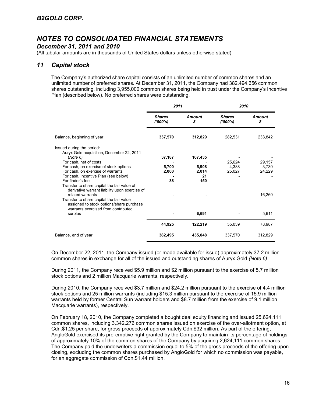*December 31, 2011 and 2010*

(All tabular amounts are in thousands of United States dollars unless otherwise stated)

### *11 Capital stock*

The Company's authorized share capital consists of an unlimited number of common shares and an unlimited number of preferred shares. At December 31, 2011, the Company had 382,494,656 common shares outstanding, including 3,955,000 common shares being held in trust under the Company's Incentive Plan (described below). No preferred shares were outstanding.

|                                                                                              | 2011                      |                     | 2010                      |                     |  |
|----------------------------------------------------------------------------------------------|---------------------------|---------------------|---------------------------|---------------------|--|
|                                                                                              | <b>Shares</b><br>('000's) | <b>Amount</b><br>\$ | <b>Shares</b><br>(1000's) | <b>Amount</b><br>\$ |  |
| Balance, beginning of year                                                                   | 337,570                   | 312,829             | 282,531                   | 233,842             |  |
| Issued during the period:<br>Auryx Gold acquisition, December 22, 2011                       |                           |                     |                           |                     |  |
| (Note 6)                                                                                     | 37,187                    | 107,435             |                           |                     |  |
| For cash, net of costs                                                                       |                           |                     | 25,624                    | 29,157              |  |
| For cash, on exercise of stock options                                                       | 5,700<br>2,000            | 5,908<br>2,014      | 4,388                     | 3,730               |  |
| For cash, on exercise of warrants<br>For cash, Incentive Plan (see below)                    |                           | 21                  | 25,027                    | 24,229              |  |
| For finder's fee                                                                             | 38                        | 150                 |                           |                     |  |
| Transfer to share capital the fair value of<br>derivative warrant liability upon exercise of |                           |                     |                           |                     |  |
| related warrants<br>Transfer to share capital the fair value                                 |                           |                     |                           | 16,260              |  |
| assigned to stock options/share purchase<br>warrants exercised from contributed<br>surplus   |                           | 6,691               |                           | 5,611               |  |
|                                                                                              | 44,925                    | 122,219             | 55,039                    | 78,987              |  |
| Balance, end of year                                                                         | 382,495                   | 435,048             | 337,570                   | 312,829             |  |

On December 22, 2011, the Company issued (or made available for issue) approximately 37.2 million common shares in exchange for all of the issued and outstanding shares of Auryx Gold *(Note 6)*.

During 2011, the Company received \$5.9 million and \$2 million pursuant to the exercise of 5.7 million stock options and 2 million Macquarie warrants, respectively.

During 2010, the Company received \$3.7 million and \$24.2 million pursuant to the exercise of 4.4 million stock options and 25 million warrants (including \$15.3 million pursuant to the exercise of 15.9 million warrants held by former Central Sun warrant holders and \$8.7 million from the exercise of 9.1 million Macquarie warrants), respectively.

On February 18, 2010, the Company completed a bought deal equity financing and issued 25,624,111 common shares, including 3,342,276 common shares issued on exercise of the over-allotment option, at Cdn.\$1.25 per share, for gross proceeds of approximately Cdn.\$32 million. As part of the offering, AngloGold exercised its pre-emptive right granted by the Company to maintain its percentage of holdings of approximately 10% of the common shares of the Company by acquiring 2,624,111 common shares. The Company paid the underwriters a commission equal to 5% of the gross proceeds of the offering upon closing, excluding the common shares purchased by AngloGold for which no commission was payable, for an aggregate commission of Cdn.\$1.44 million.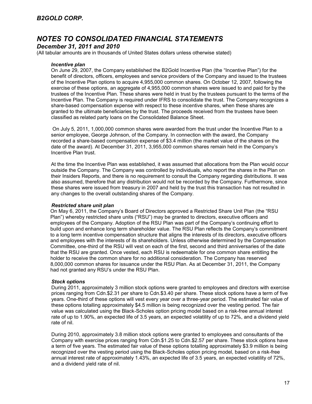### *December 31, 2011 and 2010*

(All tabular amounts are in thousands of United States dollars unless otherwise stated)

#### *Incentive plan*

On June 29, 2007, the Company established the B2Gold Incentive Plan (the "Incentive Plan") for the benefit of directors, officers, employees and service providers of the Company and issued to the trustees of the Incentive Plan options to acquire 4,955,000 common shares. On October 12, 2007, following the exercise of these options, an aggregate of 4,955,000 common shares were issued to and paid for by the trustees of the Incentive Plan. These shares were held in trust by the trustees pursuant to the terms of the Incentive Plan. The Company is required under IFRS to consolidate the trust. The Company recognizes a share-based compensation expense with respect to these incentive shares, when these shares are granted to the ultimate beneficiaries by the trust. The proceeds received from the trustees have been classified as related party loans on the Consolidated Balance Sheet.

On July 5, 2011, 1,000,000 common shares were awarded from the trust under the Incentive Plan to a senior employee, George Johnson, of the Company. In connection with the award, the Company recorded a share-based compensation expense of \$3.4 million (the market value of the shares on the date of the award). At December 31, 2011, 3,955,000 common shares remain held in the Company's Incentive Plan trust.

At the time the Incentive Plan was established, it was assumed that allocations from the Plan would occur outside the Company. The Company was controlled by individuals, who report the shares in the Plan on their Insiders Reports, and there is no requirement to consult the Company regarding distributions. It was also assumed, therefore that any distribution would not be recorded by the Company. Furthermore, since these shares were issued from treasury in 2007 and held by the trust this transaction has not resulted in any changes to the overall outstanding shares of the Company.

#### *Restricted share unit plan*

On May 6, 2011, the Company's Board of Directors approved a Restricted Share Unit Plan (the "RSU Plan") whereby restricted share units ("RSU") may be granted to directors, executive officers and employees of the Company. Adoption of the RSU Plan was part of the Company's continuing effort to build upon and enhance long term shareholder value. The RSU Plan reflects the Company's commitment to a long term incentive compensation structure that aligns the interests of its directors, executive officers and employees with the interests of its shareholders. Unless otherwise determined by the Compensation Committee, one-third of the RSU will vest on each of the first, second and third anniversaries of the date that the RSU are granted. Once vested, each RSU is redeemable for one common share entitling the holder to receive the common share for no additional consideration. The Company has reserved 8,000,000 common shares for issuance under the RSU Plan. As at December 31, 2011, the Company had not granted any RSU's under the RSU Plan.

#### *Stock options*

During 2011, approximately 3 million stock options were granted to employees and directors with exercise prices ranging from Cdn.\$2.31 per share to Cdn.\$3.40 per share. These stock options have a term of five years. One-third of these options will vest every year over a three-year period. The estimated fair value of these options totalling approximately \$4.5 million is being recognized over the vesting period. The fair value was calculated using the Black-Scholes option pricing model based on a risk-free annual interest rate of up to 1.90%, an expected life of 3.5 years, an expected volatility of up to 72%, and a dividend yield rate of nil.

During 2010, approximately 3.8 million stock options were granted to employees and consultants of the Company with exercise prices ranging from Cdn.\$1.25 to Cdn.\$2.57 per share. These stock options have a term of five years. The estimated fair value of these options totalling approximately \$3.9 million is being recognized over the vesting period using the Black-Scholes option pricing model, based on a risk-free annual interest rate of approximately 1.43%, an expected life of 3.5 years, an expected volatility of 72%, and a dividend yield rate of nil.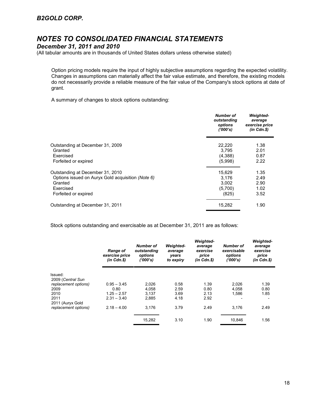## *B2GOLD CORP.*

## *NOTES TO CONSOLIDATED FINANCIAL STATEMENTS*

## *December 31, 2011 and 2010*

(All tabular amounts are in thousands of United States dollars unless otherwise stated)

Option pricing models require the input of highly subjective assumptions regarding the expected volatility. Changes in assumptions can materially affect the fair value estimate, and therefore, the existing models do not necessarily provide a reliable measure of the fair value of the Company's stock options at date of grant.

A summary of changes to stock options outstanding:

|                                                   | <b>Number of</b><br>outstanding<br>options<br>('000's) | <b>Weighted-</b><br>average<br>exercise price<br>$(in$ $Cdn.S)$ |
|---------------------------------------------------|--------------------------------------------------------|-----------------------------------------------------------------|
| Outstanding at December 31, 2009                  | 22,220                                                 | 1.38                                                            |
| Granted                                           | 3.795                                                  | 2.01                                                            |
| Exercised                                         | (4,388)                                                | 0.87                                                            |
| Forfeited or expired                              | (5.998)                                                | 2.22                                                            |
| Outstanding at December 31, 2010                  | 15,629                                                 | 1.35                                                            |
| Options issued on Auryx Gold acquisition (Note 6) | 3.176                                                  | 2.49                                                            |
| Granted                                           | 3,002                                                  | 2.90                                                            |
| Exercised                                         | (5,700)                                                | 1.02                                                            |
| Forfeited or expired                              | (825)                                                  | 3.52                                                            |
| Outstanding at December 31, 2011                  | 15,282                                                 | 1.90                                                            |

Stock options outstanding and exercisable as at December 31, 2011 are as follows:

|                      | <b>Range of</b><br>exercise price<br>$(in$ $Cdn.S)$ | Number of<br>outstanding<br>options<br>(1000's) | <b>Weighted-</b><br>average<br>vears<br>to expiry | <b>Weighted-</b><br>average<br>exercise<br>price<br>$(in$ $Cdn.S)$ | Number of<br>exercisable<br>options<br>(1000's) | <b>Weighted-</b><br>average<br>exercise<br>price<br>$(in$ $Cdn.S)$ |
|----------------------|-----------------------------------------------------|-------------------------------------------------|---------------------------------------------------|--------------------------------------------------------------------|-------------------------------------------------|--------------------------------------------------------------------|
| Issued:              |                                                     |                                                 |                                                   |                                                                    |                                                 |                                                                    |
| 2009 (Central Sun    |                                                     |                                                 |                                                   |                                                                    |                                                 |                                                                    |
| replacement options) | $0.95 - 3.45$                                       | 2.026                                           | 0.58                                              | 1.39                                                               | 2.026                                           | 1.39                                                               |
| 2009                 | 0.80                                                | 4.058                                           | 2.59                                              | 0.80                                                               | 4.058                                           | 0.80                                                               |
| 2010                 | $1.25 - 2.57$                                       | 3,137                                           | 3.69                                              | 2.13                                                               | 1.586                                           | 1.85                                                               |
| 2011                 | $2.31 - 3.40$                                       | 2.885                                           | 4.18                                              | 2.92                                                               |                                                 |                                                                    |
| 2011 (Auryx Gold     |                                                     |                                                 |                                                   |                                                                    |                                                 |                                                                    |
| replacement options) | $2.18 - 4.00$                                       | 3,176                                           | 3.79                                              | 2.49                                                               | 3.176                                           | 2.49                                                               |
|                      |                                                     | 15,282                                          | 3.10                                              | 1.90                                                               | 10,846                                          | 1.56                                                               |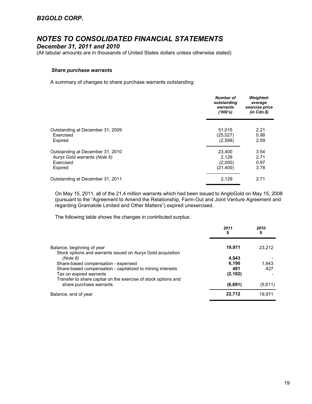## *December 31, 2011 and 2010*

(All tabular amounts are in thousands of United States dollars unless otherwise stated)

#### *Share purchase warrants*

A summary of changes to share purchase warrants outstanding:

|                                  | Number of<br>outstanding<br>warrants<br>(1000's) | <b>Weighted-</b><br>average<br>exercise price<br>$(in$ $Cdn.$ \$) |
|----------------------------------|--------------------------------------------------|-------------------------------------------------------------------|
| Outstanding at December 31, 2009 | 51,015                                           | 2.21                                                              |
| Exercised                        | (25.027)                                         | 0.98                                                              |
| Expired                          | (2,588)                                          | 2.09                                                              |
| Outstanding at December 31, 2010 | 23,400                                           | 3.54                                                              |
| Auryx Gold warrants (Note 6)     | 2.129                                            | 2.71                                                              |
| Exercised                        | (2,000)                                          | 0.97                                                              |
| Expired                          | (21, 400)                                        | 3.78                                                              |
| Outstanding at December 31, 2011 | 2,129                                            | 2.71                                                              |

On May 15, 2011, all of the 21.4 million warrants which had been issued to AngloGold on May 15, 2008 (pursuant to the "Agreement to Amend the Relationship, Farm-Out and Joint Venture Agreement and regarding Gramalote Limited and Other Matters") expired unexercised.

The following table shows the changes in contributed surplus:

|                                                                                           | 2011<br>\$ | 2010<br>\$ |
|-------------------------------------------------------------------------------------------|------------|------------|
| Balance, beginning of year                                                                | 19,971     | 23.212     |
| Stock options and warrants issued on Auryx Gold acquisition                               |            |            |
| (Note 6)                                                                                  | 4,943      |            |
| Share-based compensation - expensed                                                       | 6,190      | 1.943      |
| Share-based compensation - capitalized to mining interests                                | 481        | 427        |
| Tax on expired warrants<br>Transfer to share capital on the exercise of stock options and | (2, 182)   |            |
| share purchase warrants                                                                   | (6,691)    | (5,611)    |
| Balance, end of year                                                                      | 22.712     | 19.971     |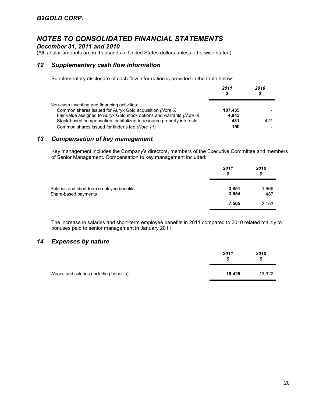## *B2GOLD CORP.*

## *NOTES TO CONSOLIDATED FINANCIAL STATEMENTS*

#### *December 31, 2011 and 2010*

(All tabular amounts are in thousands of United States dollars unless otherwise stated)

### *12 Supplementary cash flow information*

Supplementary disclosure of cash flow information is provided in the table below:

|                                                                                                                                   | 2011<br>S        | 2010<br>S |
|-----------------------------------------------------------------------------------------------------------------------------------|------------------|-----------|
| Non-cash investing and financing activities:                                                                                      |                  |           |
| Common shares issued for Auryx Gold acquisition (Note 6)<br>Fair value assigned to Auryx Gold stock options and warrants (Note 6) | 107.435<br>4.943 |           |
| Stock-based compensation, capitalized to resource property interests                                                              | 481              | 427       |
| Common shares issued for finder's fee (Note 11)                                                                                   | 150              |           |

## *13 Compensation of key management*

Key management includes the Company's directors, members of the Executive Committee and members of Senior Management. Compensation to key management included:

|                                                                   | 2011<br>S      | 2010<br>S    |
|-------------------------------------------------------------------|----------------|--------------|
| Salaries and short-term employee benefits<br>Share-based payments | 3,851<br>3.654 | 1,666<br>487 |
|                                                                   | 7,505          | 2,153        |

The increase in salaries and short-term employee benefits in 2011 compared to 2010 related mainly to bonuses paid to senior management in January 2011.

### *14 Expenses by nature*

|                                         | 2011   | 2010<br>\$ |
|-----------------------------------------|--------|------------|
| Wages and salaries (including benefits) | 19.425 | 13,922     |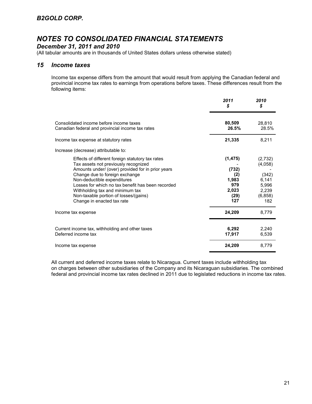### *December 31, 2011 and 2010*

(All tabular amounts are in thousands of United States dollars unless otherwise stated)

### *15 Income taxes*

Income tax expense differs from the amount that would result from applying the Canadian federal and provincial income tax rates to earnings from operations before taxes. These differences result from the following items:

|                                                                                                                                               | 2011<br>\$           | 2010<br>\$               |
|-----------------------------------------------------------------------------------------------------------------------------------------------|----------------------|--------------------------|
| Consolidated income before income taxes<br>Canadian federal and provincial income tax rates                                                   | 80,509<br>26.5%      | 28.810<br>28.5%          |
| Income tax expense at statutory rates                                                                                                         | 21,335               | 8,211                    |
| Increase (decrease) attributable to:                                                                                                          |                      |                          |
| Effects of different foreign statutory tax rates<br>Tax assets not previously recognized<br>Amounts under/ (over) provided for in prior years | (1, 475)<br>(732)    | (2,732)<br>(4,058)       |
| Change due to foreign exchange<br>Non-deductible expenditures<br>Losses for which no tax benefit has been recorded                            | (2)<br>1,983<br>979  | (342)<br>6,141<br>5,996  |
| Withholding tax and minimum tax<br>Non-taxable portion of losses/(gains)<br>Change in enacted tax rate                                        | 2,023<br>(29)<br>127 | 2,239<br>(6, 858)<br>182 |
| Income tax expense                                                                                                                            | 24,209               | 8,779                    |
| Current income tax, withholding and other taxes<br>Deferred income tax                                                                        | 6,292<br>17,917      | 2,240<br>6,539           |
| Income tax expense                                                                                                                            | 24,209               | 8.779                    |

All current and deferred income taxes relate to Nicaragua. Current taxes include withholding tax on charges between other subsidiaries of the Company and its Nicaraguan subsidiaries. The combined federal and provincial income tax rates declined in 2011 due to legislated reductions in income tax rates.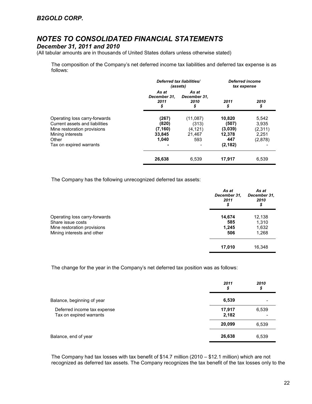## *B2GOLD CORP.*

## *NOTES TO CONSOLIDATED FINANCIAL STATEMENTS*

## *December 31, 2011 and 2010*

(All tabular amounts are in thousands of United States dollars unless otherwise stated)

The composition of the Company's net deferred income tax liabilities and deferred tax expense is as follows:

|                                                                                                                                                        | Deferred tax liabilities/<br>(assets)         |                                                | <b>Deferred income</b><br>tax expense                   |                                               |
|--------------------------------------------------------------------------------------------------------------------------------------------------------|-----------------------------------------------|------------------------------------------------|---------------------------------------------------------|-----------------------------------------------|
|                                                                                                                                                        | As at<br>December 31.<br>2011<br>\$           | As at<br>December 31.<br>2010<br>\$            | 2011<br>\$                                              | 2010<br>\$                                    |
| Operating loss carry-forwards<br>Current assets and liabilities<br>Mine restoration provisions<br>Mining interests<br>Other<br>Tax on expired warrants | (267)<br>(820)<br>(7, 160)<br>33,845<br>1,040 | (11,087)<br>(313)<br>(4, 121)<br>21,467<br>593 | 10,820<br>(507)<br>(3,039)<br>12,378<br>447<br>(2, 182) | 5,542<br>3,935<br>(2,311)<br>2,251<br>(2,878) |
|                                                                                                                                                        | 26,638                                        | 6,539                                          | 17,917                                                  | 6,539                                         |

The Company has the following unrecognized deferred tax assets:

|                                                                                                                 | As at<br>December 31.<br>2011<br>\$ | As at<br>December 31,<br>2010<br>\$ |
|-----------------------------------------------------------------------------------------------------------------|-------------------------------------|-------------------------------------|
| Operating loss carry-forwards<br>Share issue costs<br>Mine restoration provisions<br>Mining interests and other | 14,674<br>585<br>1,245<br>506       | 12,138<br>1,310<br>1,632<br>1,268   |
|                                                                                                                 | 17,010                              | 16,348                              |

The change for the year in the Company's net deferred tax position was as follows:

|                                                        | 2011<br>\$      | 2010<br>\$ |
|--------------------------------------------------------|-----------------|------------|
| Balance, beginning of year                             | 6,539           |            |
| Deferred income tax expense<br>Tax on expired warrants | 17,917<br>2,182 | 6,539      |
|                                                        | 20,099          | 6,539      |
| Balance, end of year                                   | 26,638          | 6,539      |

The Company had tax losses with tax benefit of \$14.7 million (2010 – \$12.1 million) which are not recognized as deferred tax assets. The Company recognizes the tax benefit of the tax losses only to the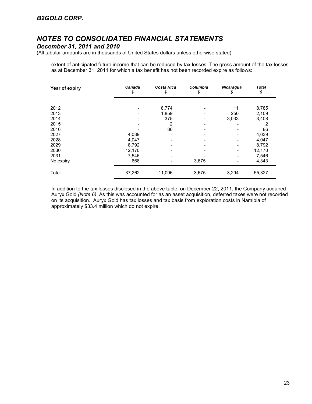### *December 31, 2011 and 2010*

(All tabular amounts are in thousands of United States dollars unless otherwise stated)

extent of anticipated future income that can be reduced by tax losses. The gross amount of the tax losses as at December 31, 2011 for which a tax benefit has not been recorded expire as follows:

| Year of expiry | Canada<br>\$ | <b>Costa Rica</b><br>\$ | Columbia<br>\$ | Nicaragua<br>S | <b>Total</b><br>\$ |
|----------------|--------------|-------------------------|----------------|----------------|--------------------|
|                |              |                         |                |                |                    |
| 2012           |              | 8,774                   |                | 11             | 8,785              |
| 2013           |              | 1,859                   |                | 250            | 2,109              |
| 2014           |              | 375                     |                | 3,033          | 3,408              |
| 2015           |              | 2                       |                |                |                    |
| 2016           |              | 86                      |                |                | 86                 |
| 2027           | 4,039        |                         |                |                | 4,039              |
| 2028           | 4,047        |                         |                |                | 4,047              |
| 2029           | 8,792        |                         |                |                | 8,792              |
| 2030           | 12,170       |                         |                |                | 12,170             |
| 2031           | 7,546        |                         |                |                | 7,546              |
| No expiry      | 668          |                         | 3,675          |                | 4,343              |
| Total          | 37,262       | 11,096                  | 3,675          | 3,294          | 55,327             |

In addition to the tax losses disclosed in the above table, on December 22, 2011, the Company acquired Auryx Gold *(Note 6)*. As this was accounted for as an asset acquisition, deferred taxes were not recorded on its acquisition. Auryx Gold has tax losses and tax basis from exploration costs in Namibia of approximately \$33.4 million which do not expire.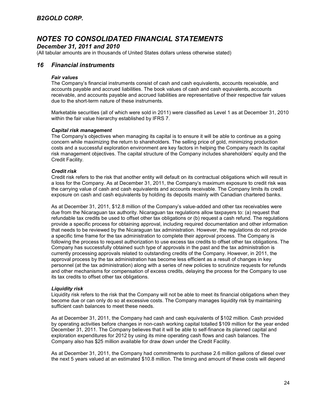### *December 31, 2011 and 2010*

(All tabular amounts are in thousands of United States dollars unless otherwise stated)

### *16 Financial instruments*

#### *Fair values*

The Company's financial instruments consist of cash and cash equivalents, accounts receivable, and accounts payable and accrued liabilities. The book values of cash and cash equivalents, accounts receivable, and accounts payable and accrued liabilities are representative of their respective fair values due to the short-term nature of these instruments.

Marketable securities (all of which were sold in 2011) were classified as Level 1 as at December 31, 2010 within the fair value hierarchy established by IFRS 7.

#### *Capital risk management*

The Company's objectives when managing its capital is to ensure it will be able to continue as a going concern while maximizing the return to shareholders. The selling price of gold, minimizing production costs and a successful exploration environment are key factors in helping the Company reach its capital risk management objectives. The capital structure of the Company includes shareholders' equity and the Credit Facility.

#### *Credit risk*

Credit risk refers to the risk that another entity will default on its contractual obligations which will result in a loss for the Company. As at December 31, 2011, the Company's maximum exposure to credit risk was the carrying value of cash and cash equivalents and accounts receivable. The Company limits its credit exposure on cash and cash equivalents by holding its deposits mainly with Canadian chartered banks.

As at December 31, 2011, \$12.8 million of the Company's value-added and other tax receivables were due from the Nicaraguan tax authority. Nicaraguan tax regulations allow taxpayers to: (a) request that refundable tax credits be used to offset other tax obligations or (b) request a cash refund. The regulations provide a specific process for obtaining approval, including required documentation and other information that needs to be reviewed by the Nicaraguan tax administration. However, the regulations do not provide a specific time frame for the tax administration to complete their approval process. The Company is following the process to request authorization to use excess tax credits to offset other tax obligations. The Company has successfully obtained such type of approvals in the past and the tax administration is currently processing approvals related to outstanding credits of the Company. However, in 2011, the approval process by the tax administration has become less efficient as a result of changes in key personnel (at the tax administration) along with a series of new policies to scrutinize requests for refunds and other mechanisms for compensation of excess credits, delaying the process for the Company to use its tax credits to offset other tax obligations.

#### *Liquidity risk*

Liquidity risk refers to the risk that the Company will not be able to meet its financial obligations when they become due or can only do so at excessive costs. The Company manages liquidity risk by maintaining sufficient cash balances to meet these needs.

As at December 31, 2011, the Company had cash and cash equivalents of \$102 million. Cash provided by operating activities before changes in non-cash working capital totalled \$109 million for the year ended December 31, 2011. The Company believes that it will be able to self-finance its planned capital and exploration expenditures for 2012 by using its mine operating cash flows and cash balances. The Company also has \$25 million available for draw down under the Credit Facility.

As at December 31, 2011, the Company had commitments to purchase 2.6 million gallons of diesel over the next 5 years valued at an estimated \$10.8 million. The timing and amount of these costs will depend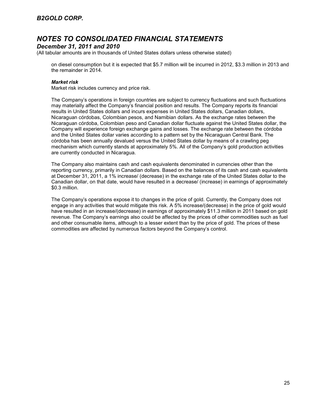### *December 31, 2011 and 2010*

(All tabular amounts are in thousands of United States dollars unless otherwise stated)

on diesel consumption but it is expected that \$5.7 million will be incurred in 2012, \$3.3 million in 2013 and the remainder in 2014.

#### *Market risk*

Market risk includes currency and price risk.

The Company's operations in foreign countries are subject to currency fluctuations and such fluctuations may materially affect the Company's financial position and results. The Company reports its financial results in United States dollars and incurs expenses in United States dollars, Canadian dollars, Nicaraguan córdobas, Colombian pesos, and Namibian dollars. As the exchange rates between the Nicaraguan córdoba, Colombian peso and Canadian dollar fluctuate against the United States dollar, the Company will experience foreign exchange gains and losses. The exchange rate between the córdoba and the United States dollar varies according to a pattern set by the Nicaraguan Central Bank. The córdoba has been annually devalued versus the United States dollar by means of a crawling peg mechanism which currently stands at approximately 5%. All of the Company's gold production activities are currently conducted in Nicaragua.

The Company also maintains cash and cash equivalents denominated in currencies other than the reporting currency, primarily in Canadian dollars. Based on the balances of its cash and cash equivalents at December 31, 2011, a 1% increase/ (decrease) in the exchange rate of the United States dollar to the Canadian dollar, on that date, would have resulted in a decrease/ (increase) in earnings of approximately \$0.3 million.

The Company's operations expose it to changes in the price of gold. Currently, the Company does not engage in any activities that would mitigate this risk. A 5% increase/(decrease) in the price of gold would have resulted in an increase/(decrease) in earnings of approximately \$11.3 million in 2011 based on gold revenue. The Company's earnings also could be affected by the prices of other commodities such as fuel and other consumable items, although to a lesser extent than by the price of gold. The prices of these commodities are affected by numerous factors beyond the Company's control.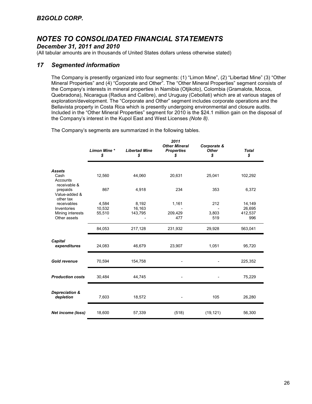*December 31, 2011 and 2010*

(All tabular amounts are in thousands of United States dollars unless otherwise stated)

## *17 Segmented information*

The Company is presently organized into four segments: (1) "Limon Mine", (2) "Libertad Mine" (3) "Other Mineral Properties" and (4) "Corporate and Other". The "Other Mineral Properties" segment consists of the Company's interests in mineral properties in Namibia (Otjikoto), Colombia (Gramalote, Mocoa, Quebradona), Nicaragua (Radius and Calibre), and Uruguay (Cebollati) which are at various stages of exploration/development. The "Corporate and Other" segment includes corporate operations and the Bellavista property in Costa Rica which is presently undergoing environmental and closure audits. Included in the "Other Mineral Properties" segment for 2010 is the \$24.1 million gain on the disposal of the Company's interest in the Kupol East and West Licenses *(Note 8)*.

The Company's segments are summarized in the following tables.

|                                                                | <b>Limon Mine *</b><br>\$ | <b>Libertad Mine</b><br>\$ | 2011<br><b>Other Mineral</b><br><b>Properties</b><br>S | Corporate &<br><b>Other</b><br>\$ | <b>Total</b><br>\$                 |
|----------------------------------------------------------------|---------------------------|----------------------------|--------------------------------------------------------|-----------------------------------|------------------------------------|
| <b>Assets</b><br>Cash<br>Accounts<br>receivable &              | 12,560                    | 44,060                     | 20,631                                                 | 25,041                            | 102,292                            |
| prepaids<br>Value-added &<br>other tax                         | 867                       | 4,918                      | 234                                                    | 353                               | 6,372                              |
| receivables<br>Inventories<br>Mining interests<br>Other assets | 4,584<br>10,532<br>55,510 | 8,192<br>16,163<br>143,795 | 1,161<br>209,429<br>477                                | 212<br>3,803<br>519               | 14,149<br>26,695<br>412,537<br>996 |
|                                                                | 84,053                    | 217,128                    | 231,932                                                | 29,928                            | 563,041                            |
| Capital<br>expenditures                                        | 24,083                    | 46,679                     | 23,907                                                 | 1,051                             | 95,720                             |
| <b>Gold revenue</b>                                            | 70,594                    | 154,758                    |                                                        |                                   | 225,352                            |
| <b>Production costs</b>                                        | 30,484                    | 44,745                     |                                                        |                                   | 75,229                             |
| <b>Depreciation &amp;</b><br>depletion                         | 7,603                     | 18,572                     |                                                        | 105                               | 26,280                             |
| Net income (loss)                                              | 18,600                    | 57,339                     | (518)                                                  | (19, 121)                         | 56,300                             |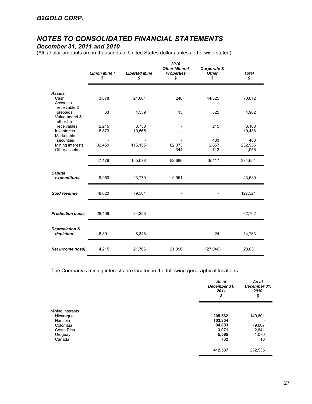### *December 31, 2011 and 2010*

(All tabular amounts are in thousands of United States dollars unless otherwise stated)

|                                                        | <b>Limon Mine *</b><br>\$ | <b>Libertad Mine</b><br>\$ | 2010<br><b>Other Mineral</b><br><b>Properties</b><br>\$ | Corporate &<br><b>Other</b><br>\$ | <b>Total</b><br>\$      |
|--------------------------------------------------------|---------------------------|----------------------------|---------------------------------------------------------|-----------------------------------|-------------------------|
| <b>Assets</b><br>Cash<br>Accounts                      | 3,878                     | 21,061                     | 248                                                     | 44,825                            | 70,012                  |
| receivable &<br>prepaids<br>Value-added &<br>other tax | 63                        | 4,559                      | 15                                                      | 325                               | 4,962                   |
| receivables<br>Inventories<br>Marketable               | 2,215<br>8,873            | 3,738<br>10,565            |                                                         | 215                               | 6,168<br>19,438         |
| securities<br>Mining interests<br>Other assets         | 32,450                    | 115,155                    | 82,073<br>344                                           | 483<br>2,857<br>712               | 483<br>232,535<br>1,056 |
|                                                        | 47,479                    | 155,078                    | 82,680                                                  | 49,417                            | 334,654                 |
| Capital<br>expenditures                                | 9,950                     | 23,779                     | 9,951                                                   |                                   | 43,680                  |
| <b>Gold revenue</b>                                    | 48,020                    | 79,501                     |                                                         |                                   | 127,521                 |
| <b>Production costs</b>                                | 28,409                    | 34,353                     |                                                         |                                   | 62,762                  |
| Depreciation &<br>depletion                            | 6,391                     | 8,348                      |                                                         | 24                                | 14,763                  |
| <b>Net income (loss)</b>                               | 4,215                     | 21,766                     | 21,096                                                  | (27, 046)                         | 20,031                  |

The Company's mining interests are located in the following geographical locations.

|                  | As at<br>December 31.<br>2011<br>\$ | As at<br>December 31,<br>2010<br>\$ |
|------------------|-------------------------------------|-------------------------------------|
| Mining interests |                                     |                                     |
| Nicaragua        | 205,562                             | 149,601                             |
| Namibia          | 102,804                             |                                     |
| Colombia         | 94,803                              | 79,007                              |
| Costa Rica       | 3,071                               | 2,841                               |
| Uruguay          | 5,565                               | 1,070                               |
| Canada           | 732                                 | 16                                  |
|                  | 412,537                             | 232,535                             |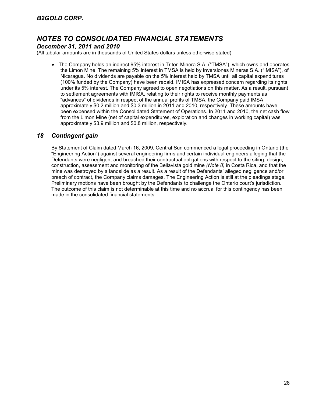### *December 31, 2011 and 2010*

(All tabular amounts are in thousands of United States dollars unless otherwise stated)

 The Company holds an indirect 95% interest in Triton Minera S.A. ("TMSA"), which owns and operates the Limon Mine. The remaining 5% interest in TMSA is held by Inversiones Mineras S.A. ("IMISA"), of Nicaragua. No dividends are payable on the 5% interest held by TMSA until all capital expenditures (100% funded by the Company) have been repaid. IMISA has expressed concern regarding its rights under its 5% interest. The Company agreed to open negotiations on this matter. As a result, pursuant to settlement agreements with IMISA, relating to their rights to receive monthly payments as "advances" of dividends in respect of the annual profits of TMSA, the Company paid IMSA approximately \$0.2 million and \$0.3 million in 2011 and 2010, respectively. These amounts have been expensed within the Consolidated Statement of Operations. In 2011 and 2010, the net cash flow from the Limon Mine (net of capital expenditures, exploration and changes in working capital) was approximately \$3.9 million and \$0.8 million, respectively.

## *18 Contingent gain*

By Statement of Claim dated March 16, 2009, Central Sun commenced a legal proceeding in Ontario (the "Engineering Action") against several engineering firms and certain individual engineers alleging that the Defendants were negligent and breached their contractual obligations with respect to the siting, design, construction, assessment and monitoring of the Bellavista gold mine *(Note 8)* in Costa Rica, and that the mine was destroyed by a landslide as a result. As a result of the Defendants' alleged negligence and/or breach of contract, the Company claims damages. The Engineering Action is still at the pleadings stage. Preliminary motions have been brought by the Defendants to challenge the Ontario court's jurisdiction. The outcome of this claim is not determinable at this time and no accrual for this contingency has been made in the consolidated financial statements.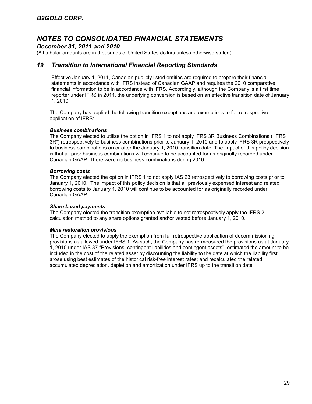### *December 31, 2011 and 2010*

(All tabular amounts are in thousands of United States dollars unless otherwise stated)

## *19 Transition to International Financial Reporting Standards*

Effective January 1, 2011, Canadian publicly listed entities are required to prepare their financial statements in accordance with IFRS instead of Canadian GAAP and requires the 2010 comparative financial information to be in accordance with IFRS. Accordingly, although the Company is a first time reporter under IFRS in 2011, the underlying conversion is based on an effective transition date of January 1, 2010.

The Company has applied the following transition exceptions and exemptions to full retrospective application of IFRS:

#### *Business combinations*

The Company elected to utilize the option in IFRS 1 to not apply IFRS 3R Business Combinations ("IFRS 3R") retrospectively to business combinations prior to January 1, 2010 and to apply IFRS 3R prospectively to business combinations on or after the January 1, 2010 transition date. The impact of this policy decision is that all prior business combinations will continue to be accounted for as originally recorded under Canadian GAAP. There were no business combinations during 2010.

#### *Borrowing costs*

The Company elected the option in IFRS 1 to not apply IAS 23 retrospectively to borrowing costs prior to January 1, 2010. The impact of this policy decision is that all previously expensed interest and related borrowing costs to January 1, 2010 will continue to be accounted for as originally recorded under Canadian GAAP.

#### *Share based payments*

The Company elected the transition exemption available to not retrospectively apply the IFRS 2 calculation method to any share options granted and\or vested before January 1, 2010.

#### *Mine restoration provisions*

The Company elected to apply the exemption from full retrospective application of decommissioning provisions as allowed under IFRS 1. As such, the Company has re-measured the provisions as at January 1, 2010 under IAS 37 "Provisions, contingent liabilities and contingent assets"; estimated the amount to be included in the cost of the related asset by discounting the liability to the date at which the liability first arose using best estimates of the historical risk-free interest rates; and recalculated the related accumulated depreciation, depletion and amortization under IFRS up to the transition date.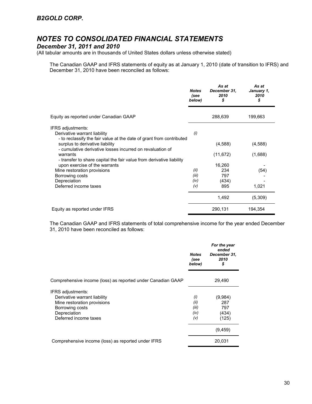## *December 31, 2011 and 2010*

(All tabular amounts are in thousands of United States dollars unless otherwise stated)

The Canadian GAAP and IFRS statements of equity as at January 1, 2010 (date of transition to IFRS) and December 31, 2010 have been reconciled as follows:

|                                                                                                      | <b>Notes</b><br>(see<br>below) | As at<br>December 31.<br>2010<br>S | As at<br>January 1,<br>2010<br>\$ |
|------------------------------------------------------------------------------------------------------|--------------------------------|------------------------------------|-----------------------------------|
| Equity as reported under Canadian GAAP                                                               |                                | 288,639                            | 199,663                           |
| IFRS adjustments:                                                                                    |                                |                                    |                                   |
| Derivative warrant liability<br>- to reclassify the fair value at the date of grant from contributed | (i)                            |                                    |                                   |
| surplus to derivative liability<br>- cumulative derivative losses incurred on revaluation of         |                                | (4,588)                            | (4,588)                           |
| warrants<br>- transfer to share capital the fair value from derivative liability                     |                                | (11, 672)                          | (1,688)                           |
| upon exercise of the warrants                                                                        |                                | 16,260                             |                                   |
| Mine restoration provisions                                                                          | (ii)                           | 234                                | (54)                              |
| Borrowing costs                                                                                      | (iii)                          | 797                                |                                   |
| Depreciation                                                                                         | (iv)                           | (434)                              |                                   |
| Deferred income taxes                                                                                | (V)                            | 895                                | 1,021                             |
|                                                                                                      |                                | 1,492                              | (5,309)                           |
| Equity as reported under IFRS                                                                        |                                | 290,131                            | 194,354                           |

The Canadian GAAP and IFRS statements of total comprehensive income for the year ended December 31, 2010 have been reconciled as follows:

|                                                                                                                                              | <b>Notes</b><br>(see<br>below)      | For the year<br>ended<br>December 31.<br>2010<br>\$ |
|----------------------------------------------------------------------------------------------------------------------------------------------|-------------------------------------|-----------------------------------------------------|
| Comprehensive income (loss) as reported under Canadian GAAP                                                                                  |                                     | 29,490                                              |
| IFRS adjustments:<br>Derivative warrant liability<br>Mine restoration provisions<br>Borrowing costs<br>Depreciation<br>Deferred income taxes | (i)<br>(ii)<br>(iii)<br>(iv)<br>(V) | (9,984)<br>287<br>797<br>(434)<br>(125)             |
|                                                                                                                                              |                                     | (9, 459)                                            |
| Comprehensive income (loss) as reported under IFRS                                                                                           |                                     | 20,031                                              |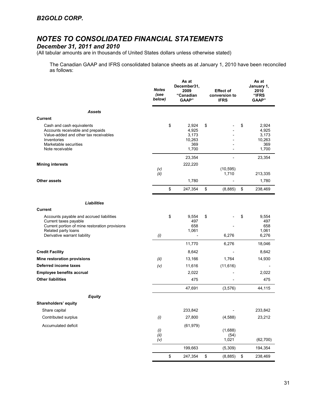## *B2GOLD CORP.*

# *NOTES TO CONSOLIDATED FINANCIAL STATEMENTS*

## *December 31, 2011 and 2010*

(All tabular amounts are in thousands of United States dollars unless otherwise stated)

The Canadian GAAP and IFRS consolidated balance sheets as at January 1, 2010 have been reconciled as follows:

|                                                                                                                                                                            | <b>Notes</b><br>(see<br>below) | As at<br>December31,<br>2009<br>"Canadian<br><b>GAAP</b> " | <b>Effect of</b><br>conversion to<br><b>IFRS</b> | As at<br>January 1,<br>2010<br>"IFRS<br>GAAP"           |
|----------------------------------------------------------------------------------------------------------------------------------------------------------------------------|--------------------------------|------------------------------------------------------------|--------------------------------------------------|---------------------------------------------------------|
| <b>Assets</b>                                                                                                                                                              |                                |                                                            |                                                  |                                                         |
| <b>Current</b>                                                                                                                                                             |                                |                                                            |                                                  |                                                         |
| Cash and cash equivalents<br>Accounts receivable and prepaids<br>Value-added and other tax receivables<br>Inventories<br>Marketable securities<br>Note receivable          |                                | \$<br>2,924<br>4,925<br>3,173<br>10,263<br>369<br>1,700    | \$                                               | \$<br>2,924<br>4,925<br>3,173<br>10,263<br>369<br>1,700 |
|                                                                                                                                                                            |                                | 23,354                                                     |                                                  | 23,354                                                  |
| <b>Mining interests</b>                                                                                                                                                    | (v)<br>(ii)                    | 222,220                                                    | (10, 595)<br>1,710                               | 213,335                                                 |
| <b>Other assets</b>                                                                                                                                                        |                                | 1,780                                                      |                                                  | 1,780                                                   |
|                                                                                                                                                                            |                                | \$<br>247,354                                              | \$<br>(8,885)                                    | \$<br>238,469                                           |
| <b>Liabilities</b>                                                                                                                                                         |                                |                                                            |                                                  |                                                         |
| <b>Current</b>                                                                                                                                                             |                                |                                                            |                                                  |                                                         |
| Accounts payable and accrued liabilities<br>Current taxes payable<br>Current portion of mine restoration provisions<br>Related party loans<br>Derivative warrant liability | (i)                            | \$<br>9,554<br>497<br>658<br>1,061                         | \$<br>6,276                                      | \$<br>9,554<br>497<br>658<br>1,061<br>6,276             |
|                                                                                                                                                                            |                                | 11,770                                                     | 6,276                                            | 18,046                                                  |
| <b>Credit Facility</b>                                                                                                                                                     |                                | 8,642                                                      |                                                  | 8,642                                                   |
| Mine restoration provisions                                                                                                                                                | (ii)                           | 13,166                                                     | 1,764                                            | 14,930                                                  |
| Deferred income taxes                                                                                                                                                      | (V)                            | 11,616                                                     | (11, 616)                                        |                                                         |
| <b>Employee benefits accrual</b>                                                                                                                                           |                                | 2,022                                                      |                                                  | 2,022                                                   |
| <b>Other liabilities</b>                                                                                                                                                   |                                | 475                                                        |                                                  | 475                                                     |
|                                                                                                                                                                            |                                | 47,691                                                     | (3, 576)                                         | 44,115                                                  |
| <b>Equity</b>                                                                                                                                                              |                                |                                                            |                                                  |                                                         |
| Shareholders' equity                                                                                                                                                       |                                |                                                            |                                                  |                                                         |
| Share capital                                                                                                                                                              |                                | 233,842                                                    | $\blacksquare$                                   | 233,842                                                 |
| Contributed surplus                                                                                                                                                        | $\left( i\right)$              | 27,800                                                     | (4, 588)                                         | 23,212                                                  |
| Accumulated deficit                                                                                                                                                        | (i)<br>(ii)<br>$\ddot{v}$      | (61, 979)                                                  | (1,688)<br>(54)<br>1,021                         | (62, 700)                                               |
|                                                                                                                                                                            |                                | 199,663                                                    | (5, 309)                                         | 194,354                                                 |
|                                                                                                                                                                            |                                | \$<br>247,354                                              | \$<br>(8, 885)                                   | \$<br>238,469                                           |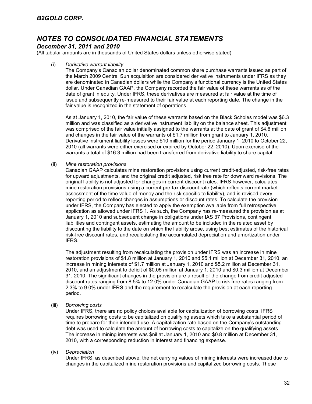### *December 31, 2011 and 2010*

(All tabular amounts are in thousands of United States dollars unless otherwise stated)

(i) *Derivative warrant liability* 

The Company's Canadian dollar denominated common share purchase warrants issued as part of the March 2009 Central Sun acquisition are considered derivative instruments under IFRS as they are denominated in Canadian dollars while the Company's functional currency is the United States dollar. Under Canadian GAAP, the Company recorded the fair value of these warrants as of the date of grant in equity. Under IFRS, these derivatives are measured at fair value at the time of issue and subsequently re-measured to their fair value at each reporting date. The change in the fair value is recognized in the statement of operations.

As at January 1, 2010, the fair value of these warrants based on the Black Scholes model was \$6.3 million and was classified as a derivative instrument liability on the balance sheet. This adjustment was comprised of the fair value initially assigned to the warrants at the date of grant of \$4.6 million and changes in the fair value of the warrants of \$1.7 million from grant to January 1, 2010. Derivative instrument liability losses were \$10 million for the period January 1, 2010 to October 22, 2010 (all warrants were either exercised or expired by October 22, 2010). Upon exercise of the warrants a total of \$16.3 million had been transferred from derivative liability to share capital.

(ii) *Mine restoration provisions* 

Canadian GAAP calculates mine restoration provisions using current credit-adjusted, risk-free rates for upward adjustments, and the original credit adjusted, risk free rate for downward revisions. The original liability is not adjusted for changes in current discount rates. IFRS however, calculates mine restoration provisions using a current pre-tax discount rate (which reflects current market assessment of the time value of money and the risk specific to liability), and is revised every reporting period to reflect changes in assumptions or discount rates. To calculate the provision under IFRS, the Company has elected to apply the exemption available from full retrospective application as allowed under IFRS 1. As such, the Company has re-measured the provision as at January 1, 2010 and subsequent change in obligations under IAS 37 Provisions, contingent liabilities and contingent assets, estimating the amount to be included in the related asset by discounting the liability to the date on which the liability arose, using best estimates of the historical risk-free discount rates, and recalculating the accumulated depreciation and amortization under IFRS.

The adjustment resulting from recalculating the provision under IFRS was an increase in mine restoration provisions of \$1.8 million at January 1, 2010 and \$5.1 million at December 31, 2010, an increase in mining interests of \$1.7 million at January 1, 2010 and \$5.2 million at December 31, 2010, and an adjustment to deficit of \$0.05 million at January 1, 2010 and \$0.3 million at December 31, 2010. The significant changes in the provision are a result of the change from credit adjusted discount rates ranging from 8.5% to 12.0% under Canadian GAAP to risk free rates ranging from 2.3% to 9.0% under IFRS and the requirement to recalculate the provision at each reporting period.

(iii) *Borrowing costs*

Under IFRS, there are no policy choices available for capitalization of borrowing costs. IFRS requires borrowing costs to be capitalized on qualifying assets which take a substantial period of time to prepare for their intended use. A capitalization rate based on the Company's outstanding debt was used to calculate the amount of borrowing costs to capitalize on the qualifying assets. The increase in mining interests was \$nil at January 1, 2010 and \$0.8 million at December 31, 2010, with a corresponding reduction in interest and financing expense.

(iv) *Depreciation*

Under IFRS, as described above, the net carrying values of mining interests were increased due to changes in the capitalized mine restoration provisions and capitalized borrowing costs. These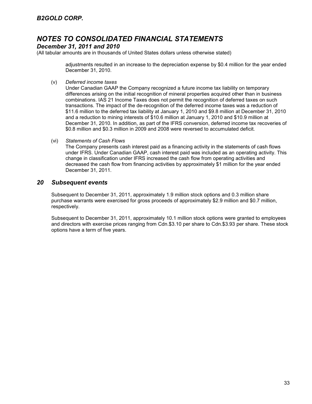### *December 31, 2011 and 2010*

(All tabular amounts are in thousands of United States dollars unless otherwise stated)

adjustments resulted in an increase to the depreciation expense by \$0.4 million for the year ended December 31, 2010.

(v) *Deferred income taxes*

Under Canadian GAAP the Company recognized a future income tax liability on temporary differences arising on the initial recognition of mineral properties acquired other than in business combinations. IAS 21 Income Taxes does not permit the recognition of deferred taxes on such transactions. The impact of the de-recognition of the deferred income taxes was a reduction of \$11.6 million to the deferred tax liability at January 1, 2010 and \$9.8 million at December 31, 2010 and a reduction to mining interests of \$10.6 million at January 1, 2010 and \$10.9 million at December 31, 2010. In addition, as part of the IFRS conversion, deferred income tax recoveries of \$0.8 million and \$0.3 million in 2009 and 2008 were reversed to accumulated deficit.

(vi) *Statements of Cash Flows*

The Company presents cash interest paid as a financing activity in the statements of cash flows under IFRS. Under Canadian GAAP, cash interest paid was included as an operating activity. This change in classification under IFRS increased the cash flow from operating activities and decreased the cash flow from financing activities by approximately \$1 million for the year ended December 31, 2011.

### *20 Subsequent events*

Subsequent to December 31, 2011, approximately 1.9 million stock options and 0.3 million share purchase warrants were exercised for gross proceeds of approximately \$2.9 million and \$0.7 million, respectively.

Subsequent to December 31, 2011, approximately 10.1 million stock options were granted to employees and directors with exercise prices ranging from Cdn.\$3.10 per share to Cdn.\$3.93 per share. These stock options have a term of five years.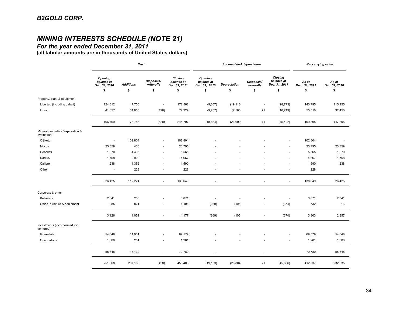# *MINING INTERESTS SCHEDULE (NOTE 21)*

*For the year ended December 31, 2011*

**(all tabular amounts are in thousands of United States dollars)**

|                                                  | Cost                                          |                  |                          |                                        | <b>Accumulated depreciation</b>               |                     |                          |                                        | <b>Net carrying value</b> |                        |
|--------------------------------------------------|-----------------------------------------------|------------------|--------------------------|----------------------------------------|-----------------------------------------------|---------------------|--------------------------|----------------------------------------|---------------------------|------------------------|
|                                                  | <b>Opening</b><br>balance at<br>Dec. 31, 2010 | <b>Additions</b> | Disposals/<br>write-offs | Closing<br>balance at<br>Dec. 31, 2011 | <b>Opening</b><br>balance at<br>Dec. 31, 2010 | <b>Depreciation</b> | Disposals/<br>write-offs | Closing<br>balance at<br>Dec. 31, 2011 | As at<br>Dec. 31, 2011    | As at<br>Dec. 31, 2010 |
|                                                  | \$                                            | \$               | \$                       | \$                                     | \$                                            | \$                  | \$                       | \$                                     | \$                        | \$                     |
| Property, plant & equipment                      |                                               |                  |                          |                                        |                                               |                     |                          |                                        |                           |                        |
| Libertad (including Jabali)                      | 124,812                                       | 47,756           | $\sim$                   | 172,568                                | (9,657)                                       | (19, 116)           | $\overline{\phantom{a}}$ | (28, 773)                              | 143,795                   | 115,155                |
| Limon                                            | 41,657                                        | 31,000           | (428)                    | 72,229                                 | (9, 207)                                      | (7, 583)            | 71                       | (16, 719)                              | 55,510                    | 32,450                 |
|                                                  | 166,469                                       | 78,756           | (428)                    | 244,797                                | (18, 864)                                     | (26, 699)           | 71                       | (45, 492)                              | 199,305                   | 147,605                |
| Mineral properties "exploration &<br>evaluation" |                                               |                  |                          |                                        |                                               |                     |                          |                                        |                           |                        |
| Otjikoto                                         | $\overline{\phantom{a}}$                      | 102,804          |                          | 102,804                                |                                               |                     |                          | ٠                                      | 102,804                   | ٠                      |
| Mocoa                                            | 23,359                                        | 436              |                          | 23,795                                 |                                               |                     |                          | $\overline{\phantom{a}}$               | 23,795                    | 23,359                 |
| Cebollati                                        | 1,070                                         | 4,495            |                          | 5,565                                  |                                               |                     |                          | $\sim$                                 | 5,565                     | 1,070                  |
| Radius                                           | 1,758                                         | 2,909            | $\sim$                   | 4,667                                  |                                               |                     |                          | $\overline{\phantom{a}}$               | 4,667                     | 1,758                  |
| Calibre                                          | 238                                           | 1,352            | $\sim$                   | 1,590                                  |                                               |                     |                          | $\sim$                                 | 1,590                     | 238                    |
| Other                                            | $\overline{\phantom{a}}$                      | 228              | $\sim$                   | 228                                    |                                               |                     |                          | ٠                                      | 228                       |                        |
|                                                  | 26,425                                        | 112,224          | $\sim$                   | 138,649                                |                                               |                     |                          | $\overline{\phantom{a}}$               | 138,649                   | 26,425                 |
| Corporate & other                                |                                               |                  |                          |                                        |                                               |                     |                          |                                        |                           |                        |
| Bellavista                                       | 2,841                                         | 230              |                          | 3,071                                  | $\blacksquare$                                |                     |                          | $\overline{\phantom{a}}$               | 3,071                     | 2,841                  |
| Office, furniture & equipment                    | 285                                           | 821              |                          | 1,106                                  | (269)                                         | (105)               |                          | (374)                                  | 732                       | 16                     |
|                                                  | 3,126                                         | 1,051            | $\overline{\phantom{a}}$ | 4,177                                  | (269)                                         | (105)               | $\overline{\phantom{a}}$ | (374)                                  | 3,803                     | 2,857                  |
| Investments (incorporated joint<br>ventures)     |                                               |                  |                          |                                        |                                               |                     |                          |                                        |                           |                        |
| Gramalote                                        | 54,648                                        | 14,931           |                          | 69,579                                 |                                               |                     |                          | $\overline{\phantom{a}}$               | 69,579                    | 54,648                 |
| Quebradona                                       | 1,000                                         | 201              | $\sim$                   | 1,201                                  |                                               |                     |                          | $\sim$                                 | 1,201                     | 1,000                  |
|                                                  | 55,648                                        | 15,132           | $\sim$                   | 70,780                                 | $\sim$                                        | ä,                  | $\overline{a}$           | $\overline{\phantom{a}}$               | 70,780                    | 55,648                 |
|                                                  | 251,668                                       | 207,163          | (428)                    | 458,403                                | (19, 133)                                     | (26, 804)           | 71                       | (45,866)                               | 412,537                   | 232,535                |